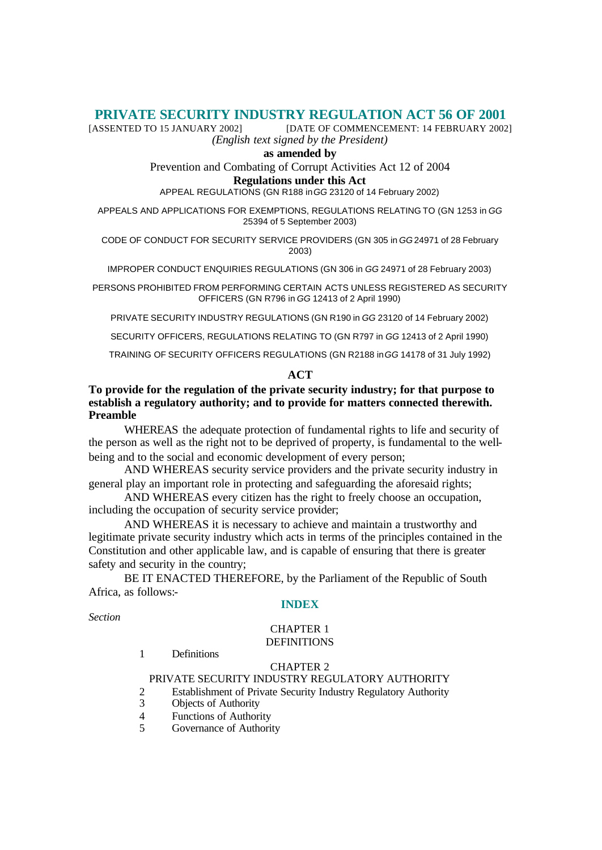# **PRIVATE SECURITY INDUSTRY REGULATION ACT 56 OF 2001**<br>[DATE OF COMMENCEMENT: 14 FEBRUARY 2002]

[DATE OF COMMENCEMENT: 14 FEBRUARY 2002] *(English text signed by the President)*

**as amended by**

Prevention and Combating of Corrupt Activities Act 12 of 2004

#### **Regulations under this Act**

APPEAL REGULATIONS (GN R188 in *GG* 23120 of 14 February 2002)

APPEALS AND APPLICATIONS FOR EXEMPTIONS, REGULATIONS RELATING TO (GN 1253 in *GG* 25394 of 5 September 2003)

CODE OF CONDUCT FOR SECURITY SERVICE PROVIDERS (GN 305 in *GG* 24971 of 28 February 2003)

IMPROPER CONDUCT ENQUIRIES REGULATIONS (GN 306 in *GG* 24971 of 28 February 2003)

PERSONS PROHIBITED FROM PERFORMING CERTAIN ACTS UNLESS REGISTERED AS SECURITY OFFICERS (GN R796 in *GG* 12413 of 2 April 1990)

PRIVATE SECURITY INDUSTRY REGULATIONS (GN R190 in *GG* 23120 of 14 February 2002)

SECURITY OFFICERS, REGULATIONS RELATING TO (GN R797 in *GG* 12413 of 2 April 1990)

TRAINING OF SECURITY OFFICERS REGULATIONS (GN R2188 in *GG* 14178 of 31 July 1992)

## **ACT**

## **To provide for the regulation of the private security industry; for that purpose to establish a regulatory authority; and to provide for matters connected therewith. Preamble**

WHEREAS the adequate protection of fundamental rights to life and security of the person as well as the right not to be deprived of property, is fundamental to the wellbeing and to the social and economic development of every person;

AND WHEREAS security service providers and the private security industry in general play an important role in protecting and safeguarding the aforesaid rights;

AND WHEREAS every citizen has the right to freely choose an occupation, including the occupation of security service provider;

AND WHEREAS it is necessary to achieve and maintain a trustworthy and legitimate private security industry which acts in terms of the principles contained in the Constitution and other applicable law, and is capable of ensuring that there is greater safety and security in the country;

BE IT ENACTED THEREFORE, by the Parliament of the Republic of South Africa, as follows:-

## **INDEX**

*Section*

## CHAPTER 1 **DEFINITIONS**

1 Definitions

## CHAPTER 2

# PRIVATE SECURITY INDUSTRY REGULATORY AUTHORITY

- 2 Establishment of Private Security Industry Regulatory Authority<br>3 Objects of Authority
- Objects of Authority
- 4 Functions of Authority
- 5 Governance of Authority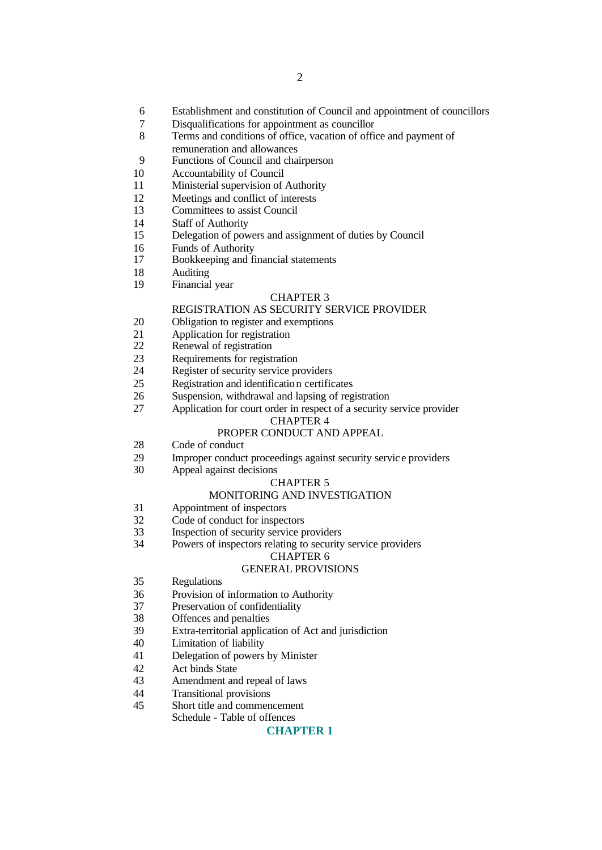- Establishment and constitution of Council and appointment of councillors
- Disqualifications for appointment as councillor
- Terms and conditions of office, vacation of office and payment of remuneration and allowances
- Functions of Council and chairperson
- Accountability of Council
- Ministerial supervision of Authority
- Meetings and conflict of interests
- Committees to assist Council
- Staff of Authority
- Delegation of powers and assignment of duties by Council
- Funds of Authority
- Bookkeeping and financial statements
- Auditing
- Financial year

#### CHAPTER 3

## REGISTRATION AS SECURITY SERVICE PROVIDER

- Obligation to register and exemptions
- Application for registration
- Renewal of registration
- Requirements for registration
- Register of security service providers
- Registration and identification certificates
- Suspension, withdrawal and lapsing of registration
- Application for court order in respect of a security service provider

#### CHAPTER 4

#### PROPER CONDUCT AND APPEAL

- Code of conduct
- Improper conduct proceedings against security servic e providers
- Appeal against decisions

#### CHAPTER 5

#### MONITORING AND INVESTIGATION

- Appointment of inspectors
- Code of conduct for inspectors
- Inspection of security service providers
- Powers of inspectors relating to security service providers

#### CHAPTER 6

#### GENERAL PROVISIONS

- Regulations
- Provision of information to Authority
- Preservation of confidentiality
- Offences and penalties
- Extra-territorial application of Act and jurisdiction
- Limitation of liability
- Delegation of powers by Minister
- Act binds State
- Amendment and repeal of laws
- Transitional provisions
- Short title and commencement
- Schedule Table of offences

#### **CHAPTER 1**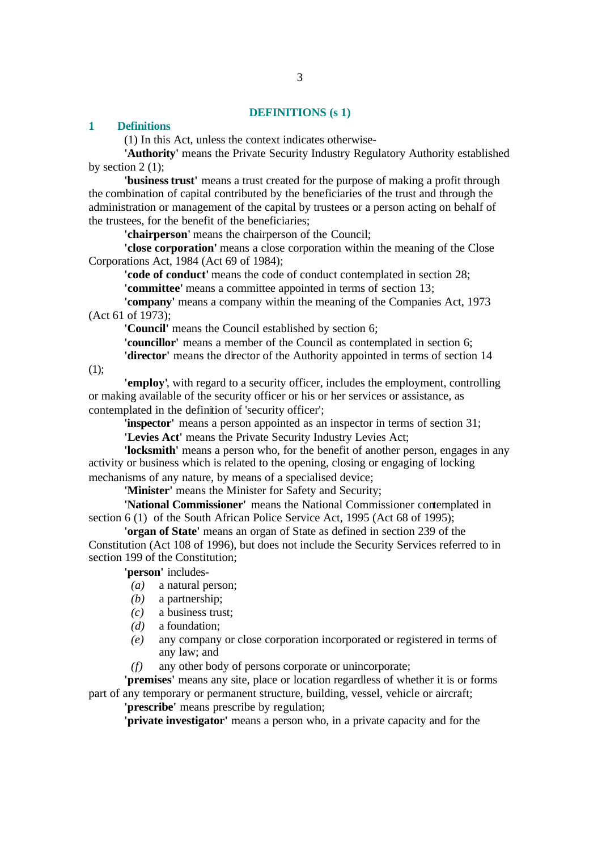#### **DEFINITIONS (s 1)**

#### **1 Definitions**

(1) In this Act, unless the context indicates otherwise-

**'Authority'** means the Private Security Industry Regulatory Authority established by section  $2(1)$ ;

**'business trust'** means a trust created for the purpose of making a profit through the combination of capital contributed by the beneficiaries of the trust and through the administration or management of the capital by trustees or a person acting on behalf of the trustees, for the benefit of the beneficiaries;

**'chairperson'** means the chairperson of the Council;

**'close corporation'** means a close corporation within the meaning of the Close Corporations Act, 1984 (Act 69 of 1984);

**'code of conduct'** means the code of conduct contemplated in section 28; **'committee'** means a committee appointed in terms of section 13;

**'company'** means a company within the meaning of the Companies Act, 1973 (Act 61 of 1973);

**'Council'** means the Council established by section 6;

**'councillor'** means a member of the Council as contemplated in section 6;

**'director'** means the director of the Authority appointed in terms of section 14

(1);

**'employ'**, with regard to a security officer, includes the employment, controlling or making available of the security officer or his or her services or assistance, as contemplated in the definition of 'security officer';

**'inspector'** means a person appointed as an inspector in terms of section 31;

**'Levies Act'** means the Private Security Industry Levies Act;

**'locksmith'** means a person who, for the benefit of another person, engages in any activity or business which is related to the opening, closing or engaging of locking mechanisms of any nature, by means of a specialised device;

**'Minister'** means the Minister for Safety and Security;

**'National Commissioner'** means the National Commissioner contemplated in section 6 (1) of the South African Police Service Act, 1995 (Act 68 of 1995);

**'organ of State'** means an organ of State as defined in section 239 of the Constitution (Act 108 of 1996), but does not include the Security Services referred to in section 199 of the Constitution;

**'person'** includes-

- *(a)* a natural person;
- *(b)* a partnership;
- *(c)* a business trust;
- *(d)* a foundation;
- *(e)* any company or close corporation incorporated or registered in terms of any law; and
- *(f)* any other body of persons corporate or unincorporate;

**'premises'** means any site, place or location regardless of whether it is or forms part of any temporary or permanent structure, building, vessel, vehicle or aircraft;

**'prescribe'** means prescribe by regulation;

**'private investigator'** means a person who, in a private capacity and for the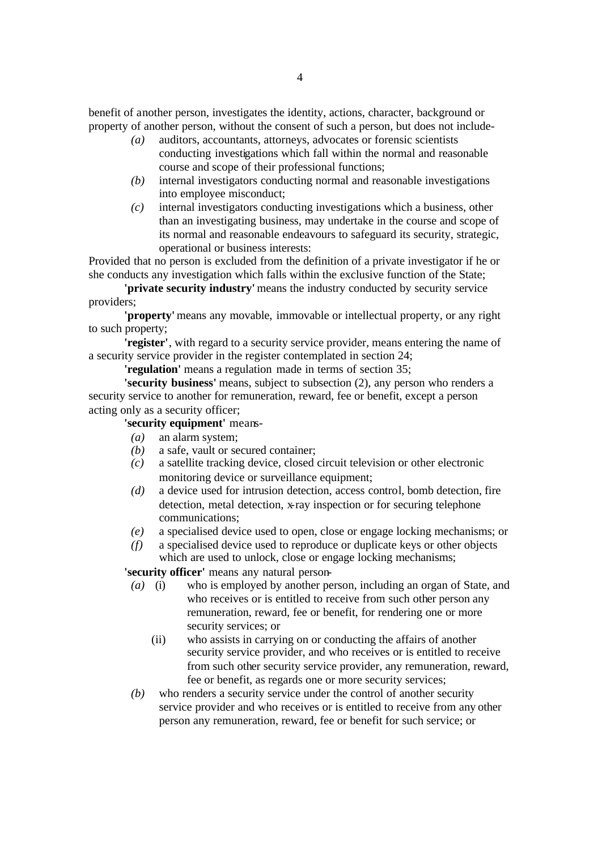benefit of another person, investigates the identity, actions, character, background or property of another person, without the consent of such a person, but does not include-

- *(a)* auditors, accountants, attorneys, advocates or forensic scientists conducting investigations which fall within the normal and reasonable course and scope of their professional functions;
- *(b)* internal investigators conducting normal and reasonable investigations into employee misconduct;
- *(c)* internal investigators conducting investigations which a business, other than an investigating business, may undertake in the course and scope of its normal and reasonable endeavours to safeguard its security, strategic, operational or business interests:

Provided that no person is excluded from the definition of a private investigator if he or she conducts any investigation which falls within the exclusive function of the State;

**'private security industry'** means the industry conducted by security service providers;

**'property'** means any movable, immovable or intellectual property, or any right to such property;

**'register'**, with regard to a security service provider, means entering the name of a security service provider in the register contemplated in section 24;

**'regulation'** means a regulation made in terms of section 35;

**'security business'** means, subject to subsection (2), any person who renders a security service to another for remuneration, reward, fee or benefit, except a person acting only as a security officer;

# **'security equipment'** means-

- *(a)* an alarm system;
- *(b)* a safe, vault or secured container;
- *(c)* a satellite tracking device, closed circuit television or other electronic monitoring device or surveillance equipment;
- *(d)* a device used for intrusion detection, access control, bomb detection, fire detection, metal detection, x-ray inspection or for securing telephone communications;
- *(e)* a specialised device used to open, close or engage locking mechanisms; or
- *(f)* a specialised device used to reproduce or duplicate keys or other objects which are used to unlock, close or engage locking mechanisms;

**'security officer'** means any natural person-

- *(a)* (i) who is employed by another person, including an organ of State, and who receives or is entitled to receive from such other person any remuneration, reward, fee or benefit, for rendering one or more security services; or
	- (ii) who assists in carrying on or conducting the affairs of another security service provider, and who receives or is entitled to receive from such other security service provider, any remuneration, reward, fee or benefit, as regards one or more security services;
- *(b)* who renders a security service under the control of another security service provider and who receives or is entitled to receive from any other person any remuneration, reward, fee or benefit for such service; or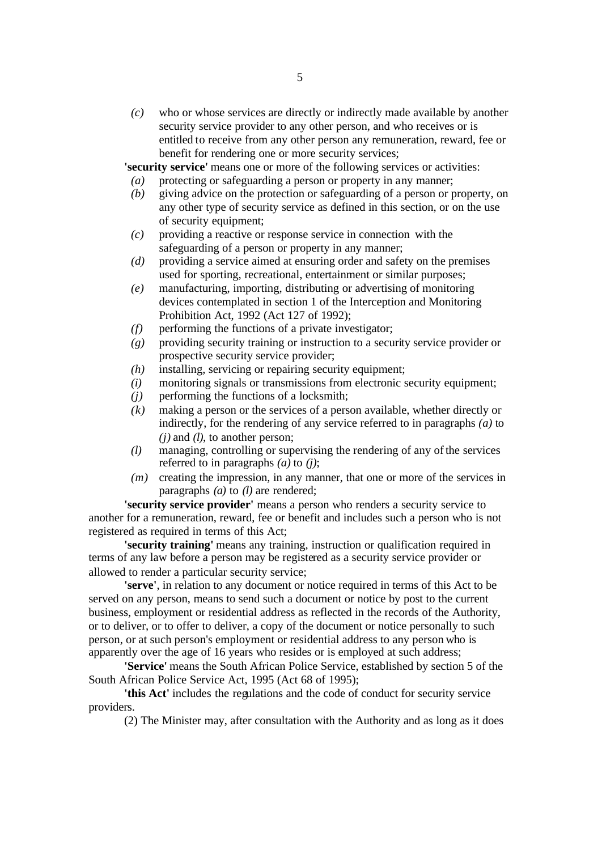*(c)* who or whose services are directly or indirectly made available by another security service provider to any other person, and who receives or is entitled to receive from any other person any remuneration, reward, fee or benefit for rendering one or more security services;

**'security service'** means one or more of the following services or activities:

- *(a)* protecting or safeguarding a person or property in any manner;
- *(b)* giving advice on the protection or safeguarding of a person or property, on any other type of security service as defined in this section, or on the use of security equipment;
- *(c)* providing a reactive or response service in connection with the safeguarding of a person or property in any manner;
- *(d)* providing a service aimed at ensuring order and safety on the premises used for sporting, recreational, entertainment or similar purposes;
- *(e)* manufacturing, importing, distributing or advertising of monitoring devices contemplated in section 1 of the Interception and Monitoring Prohibition Act, 1992 (Act 127 of 1992);
- *(f)* performing the functions of a private investigator;
- *(g)* providing security training or instruction to a security service provider or prospective security service provider;
- *(h)* installing, servicing or repairing security equipment;
- *(i)* monitoring signals or transmissions from electronic security equipment;
- *(j)* performing the functions of a locksmith;
- *(k)* making a person or the services of a person available, whether directly or indirectly, for the rendering of any service referred to in paragraphs *(a)* to *(j)* and *(l)*, to another person;
- *(l)* managing, controlling or supervising the rendering of any of the services referred to in paragraphs *(a)* to *(j)*;
- *(m)* creating the impression, in any manner, that one or more of the services in paragraphs *(a)* to *(l)* are rendered;

**'security service provider'** means a person who renders a security service to another for a remuneration, reward, fee or benefit and includes such a person who is not registered as required in terms of this Act;

**'security training'** means any training, instruction or qualification required in terms of any law before a person may be registered as a security service provider or allowed to render a particular security service;

**'serve'**, in relation to any document or notice required in terms of this Act to be served on any person, means to send such a document or notice by post to the current business, employment or residential address as reflected in the records of the Authority, or to deliver, or to offer to deliver, a copy of the document or notice personally to such person, or at such person's employment or residential address to any person who is apparently over the age of 16 years who resides or is employed at such address;

**'Service'** means the South African Police Service, established by section 5 of the South African Police Service Act, 1995 (Act 68 of 1995);

**'this Act'** includes the regulations and the code of conduct for security service providers.

(2) The Minister may, after consultation with the Authority and as long as it does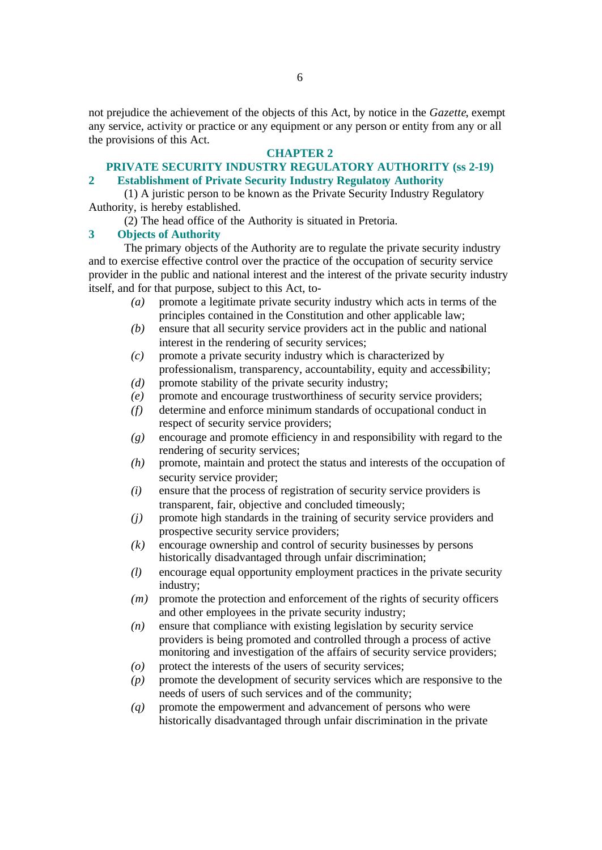not prejudice the achievement of the objects of this Act, by notice in the *Gazette*, exempt any service, activity or practice or any equipment or any person or entity from any or all the provisions of this Act.

## **CHAPTER 2**

#### **PRIVATE SECURITY INDUSTRY REGULATORY AUTHORITY (ss 2-19) 2 Establishment of Private Security Industry Regulatory Authority**

(1) A juristic person to be known as the Private Security Industry Regulatory Authority, is hereby established.

(2) The head office of the Authority is situated in Pretoria.

## **3 Objects of Authority**

The primary objects of the Authority are to regulate the private security industry and to exercise effective control over the practice of the occupation of security service provider in the public and national interest and the interest of the private security industry itself, and for that purpose, subject to this Act, to-

- *(a)* promote a legitimate private security industry which acts in terms of the principles contained in the Constitution and other applicable law;
- *(b)* ensure that all security service providers act in the public and national interest in the rendering of security services;
- *(c)* promote a private security industry which is characterized by professionalism, transparency, accountability, equity and accessibility; *(d)* promote stability of the private security industry;
- *(e)* promote and encourage trustworthiness of security service providers;
- *(f)* determine and enforce minimum standards of occupational conduct in respect of security service providers;
- *(g)* encourage and promote efficiency in and responsibility with regard to the rendering of security services;
- *(h)* promote, maintain and protect the status and interests of the occupation of security service provider;
- *(i)* ensure that the process of registration of security service providers is transparent, fair, objective and concluded timeously;
- *(j)* promote high standards in the training of security service providers and prospective security service providers;
- *(k)* encourage ownership and control of security businesses by persons historically disadvantaged through unfair discrimination;
- *(l)* encourage equal opportunity employment practices in the private security industry;
- *(m)* promote the protection and enforcement of the rights of security officers and other employees in the private security industry;
- *(n)* ensure that compliance with existing legislation by security service providers is being promoted and controlled through a process of active monitoring and investigation of the affairs of security service providers;
- *(o)* protect the interests of the users of security services;
- *(p)* promote the development of security services which are responsive to the needs of users of such services and of the community;
- *(q)* promote the empowerment and advancement of persons who were historically disadvantaged through unfair discrimination in the private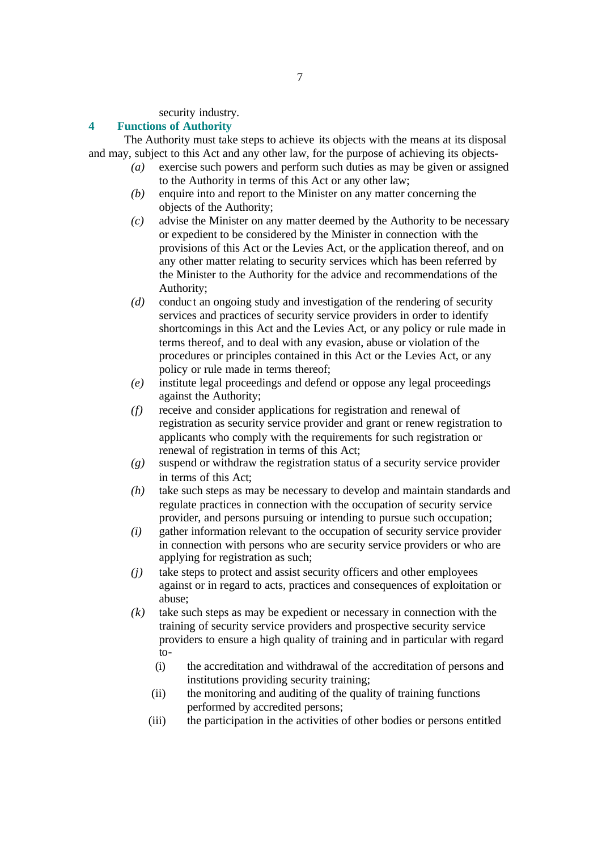security industry.

## **4 Functions of Authority**

The Authority must take steps to achieve its objects with the means at its disposal and may, subject to this Act and any other law, for the purpose of achieving its objects-

- *(a)* exercise such powers and perform such duties as may be given or assigned to the Authority in terms of this Act or any other law;
- *(b)* enquire into and report to the Minister on any matter concerning the objects of the Authority;
- *(c)* advise the Minister on any matter deemed by the Authority to be necessary or expedient to be considered by the Minister in connection with the provisions of this Act or the Levies Act, or the application thereof, and on any other matter relating to security services which has been referred by the Minister to the Authority for the advice and recommendations of the Authority;
- *(d)* conduct an ongoing study and investigation of the rendering of security services and practices of security service providers in order to identify shortcomings in this Act and the Levies Act, or any policy or rule made in terms thereof, and to deal with any evasion, abuse or violation of the procedures or principles contained in this Act or the Levies Act, or any policy or rule made in terms thereof;
- *(e)* institute legal proceedings and defend or oppose any legal proceedings against the Authority;
- *(f)* receive and consider applications for registration and renewal of registration as security service provider and grant or renew registration to applicants who comply with the requirements for such registration or renewal of registration in terms of this Act;
- *(g)* suspend or withdraw the registration status of a security service provider in terms of this Act;
- *(h)* take such steps as may be necessary to develop and maintain standards and regulate practices in connection with the occupation of security service provider, and persons pursuing or intending to pursue such occupation;
- *(i)* gather information relevant to the occupation of security service provider in connection with persons who are security service providers or who are applying for registration as such;
- *(j)* take steps to protect and assist security officers and other employees against or in regard to acts, practices and consequences of exploitation or abuse;
- *(k)* take such steps as may be expedient or necessary in connection with the training of security service providers and prospective security service providers to ensure a high quality of training and in particular with regard to-
	- (i) the accreditation and withdrawal of the accreditation of persons and institutions providing security training;
	- (ii) the monitoring and auditing of the quality of training functions performed by accredited persons;
	- (iii) the participation in the activities of other bodies or persons entitled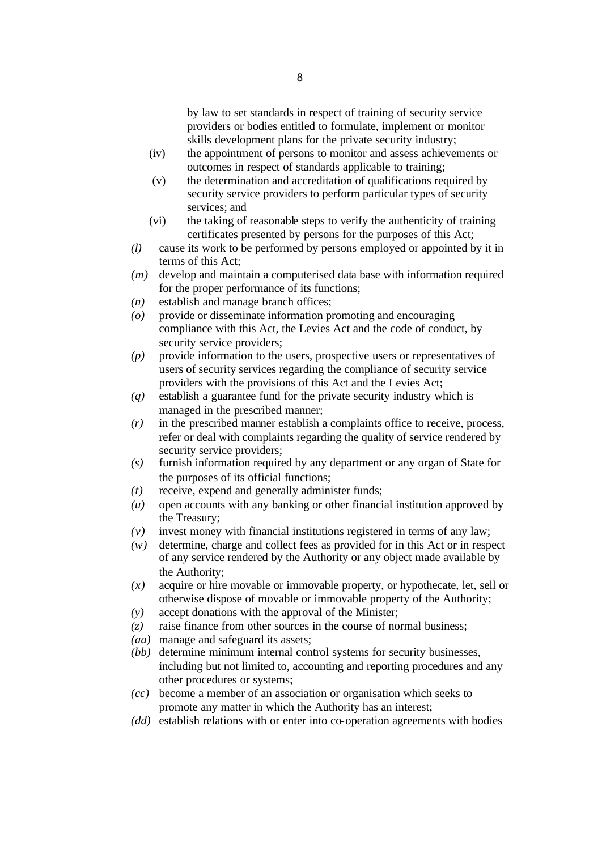by law to set standards in respect of training of security service providers or bodies entitled to formulate, implement or monitor skills development plans for the private security industry;

- (iv) the appointment of persons to monitor and assess achievements or outcomes in respect of standards applicable to training;
- (v) the determination and accreditation of qualifications required by security service providers to perform particular types of security services; and
- (vi) the taking of reasonable steps to verify the authenticity of training certificates presented by persons for the purposes of this Act;
- *(l)* cause its work to be performed by persons employed or appointed by it in terms of this Act;
- *(m)* develop and maintain a computerised data base with information required for the proper performance of its functions;
- *(n)* establish and manage branch offices;
- *(o)* provide or disseminate information promoting and encouraging compliance with this Act, the Levies Act and the code of conduct, by security service providers;
- *(p)* provide information to the users, prospective users or representatives of users of security services regarding the compliance of security service providers with the provisions of this Act and the Levies Act;
- *(q)* establish a guarantee fund for the private security industry which is managed in the prescribed manner;
- *(r)* in the prescribed manner establish a complaints office to receive, process, refer or deal with complaints regarding the quality of service rendered by security service providers:
- *(s)* furnish information required by any department or any organ of State for the purposes of its official functions;
- *(t)* receive, expend and generally administer funds;
- *(u)* open accounts with any banking or other financial institution approved by the Treasury;
- *(v)* invest money with financial institutions registered in terms of any law;
- *(w)* determine, charge and collect fees as provided for in this Act or in respect of any service rendered by the Authority or any object made available by the Authority;
- *(x)* acquire or hire movable or immovable property, or hypothecate, let, sell or otherwise dispose of movable or immovable property of the Authority;
- *(y)* accept donations with the approval of the Minister;
- *(z)* raise finance from other sources in the course of normal business;
- *(aa)* manage and safeguard its assets;
- *(bb)* determine minimum internal control systems for security businesses, including but not limited to, accounting and reporting procedures and any other procedures or systems;
- *(cc)* become a member of an association or organisation which seeks to promote any matter in which the Authority has an interest;
- *(dd)* establish relations with or enter into co-operation agreements with bodies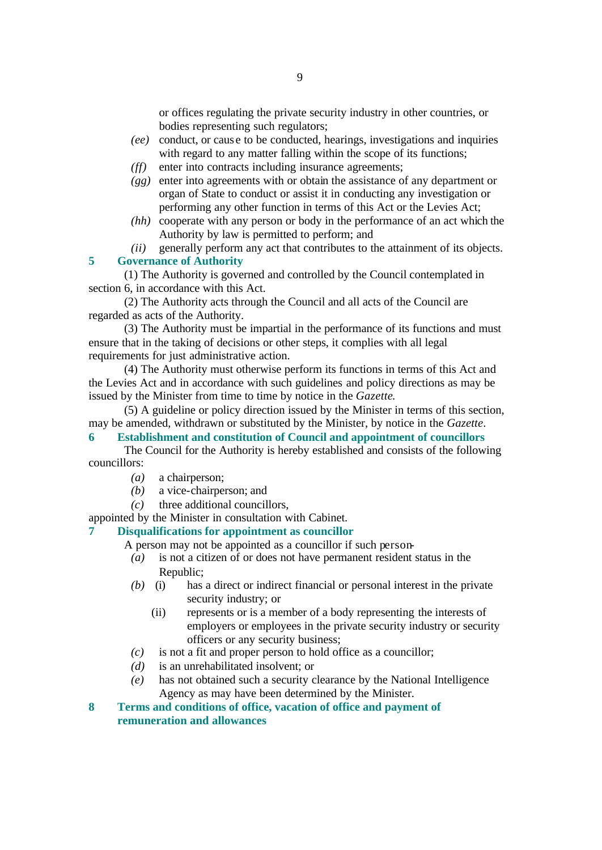or offices regulating the private security industry in other countries, or bodies representing such regulators;

- *(ee)* conduct, or caus e to be conducted, hearings, investigations and inquiries with regard to any matter falling within the scope of its functions;
- *(ff)* enter into contracts including insurance agreements;
- *(gg)* enter into agreements with or obtain the assistance of any department or organ of State to conduct or assist it in conducting any investigation or performing any other function in terms of this Act or the Levies Act;
- *(hh)* cooperate with any person or body in the performance of an act which the Authority by law is permitted to perform; and

*(ii)* generally perform any act that contributes to the attainment of its objects. **5 Governance of Authority**

(1) The Authority is governed and controlled by the Council contemplated in section 6, in accordance with this Act.

(2) The Authority acts through the Council and all acts of the Council are regarded as acts of the Authority.

(3) The Authority must be impartial in the performance of its functions and must ensure that in the taking of decisions or other steps, it complies with all legal requirements for just administrative action.

(4) The Authority must otherwise perform its functions in terms of this Act and the Levies Act and in accordance with such guidelines and policy directions as may be issued by the Minister from time to time by notice in the *Gazette*.

(5) A guideline or policy direction issued by the Minister in terms of this section, may be amended, withdrawn or substituted by the Minister, by notice in the *Gazette*.

## **6 Establishment and constitution of Council and appointment of councillors**

The Council for the Authority is hereby established and consists of the following councillors:

- *(a)* a chairperson;
- *(b)* a vice-chairperson; and
- *(c)* three additional councillors,

appointed by the Minister in consultation with Cabinet.

## **7 Disqualifications for appointment as councillor**

- A person may not be appointed as a councillor if such person-
	- *(a)* is not a citizen of or does not have permanent resident status in the Republic;
	- *(b)* (i) has a direct or indirect financial or personal interest in the private security industry; or
		- (ii) represents or is a member of a body representing the interests of employers or employees in the private security industry or security officers or any security business;
	- *(c)* is not a fit and proper person to hold office as a councillor;
	- *(d)* is an unrehabilitated insolvent; or
	- *(e)* has not obtained such a security clearance by the National Intelligence Agency as may have been determined by the Minister.
- **8 Terms and conditions of office, vacation of office and payment of remuneration and allowances**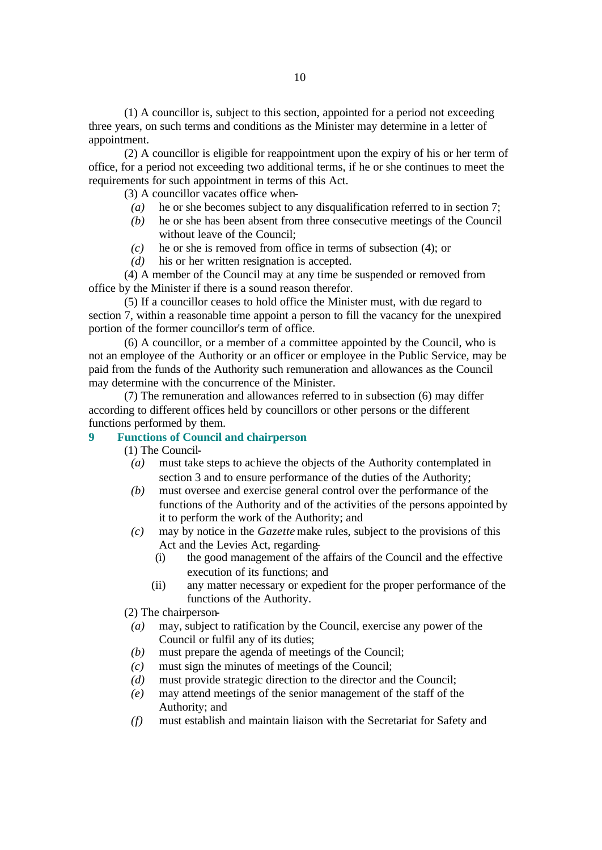(1) A councillor is, subject to this section, appointed for a period not exceeding three years, on such terms and conditions as the Minister may determine in a letter of appointment.

(2) A councillor is eligible for reappointment upon the expiry of his or her term of office, for a period not exceeding two additional terms, if he or she continues to meet the requirements for such appointment in terms of this Act.

(3) A councillor vacates office when-

- *(a)* he or she becomes subject to any disqualification referred to in section 7;
- *(b)* he or she has been absent from three consecutive meetings of the Council without leave of the Council;
- *(c)* he or she is removed from office in terms of subsection (4); or
- *(d)* his or her written resignation is accepted.

(4) A member of the Council may at any time be suspended or removed from office by the Minister if there is a sound reason therefor.

(5) If a councillor ceases to hold office the Minister must, with due regard to section 7, within a reasonable time appoint a person to fill the vacancy for the unexpired portion of the former councillor's term of office.

(6) A councillor, or a member of a committee appointed by the Council, who is not an employee of the Authority or an officer or employee in the Public Service, may be paid from the funds of the Authority such remuneration and allowances as the Council may determine with the concurrence of the Minister.

(7) The remuneration and allowances referred to in subsection (6) may differ according to different offices held by councillors or other persons or the different functions performed by them.

## **9 Functions of Council and chairperson**

(1) The Council-

- *(a)* must take steps to achieve the objects of the Authority contemplated in section 3 and to ensure performance of the duties of the Authority;
- *(b)* must oversee and exercise general control over the performance of the functions of the Authority and of the activities of the persons appointed by it to perform the work of the Authority; and
- *(c)* may by notice in the *Gazette* make rules, subject to the provisions of this Act and the Levies Act, regarding-
	- (i) the good management of the affairs of the Council and the effective execution of its functions; and
	- (ii) any matter necessary or expedient for the proper performance of the functions of the Authority.

(2) The chairperson-

- *(a)* may, subject to ratification by the Council, exercise any power of the Council or fulfil any of its duties;
- *(b)* must prepare the agenda of meetings of the Council;
- *(c)* must sign the minutes of meetings of the Council;
- *(d)* must provide strategic direction to the director and the Council;
- *(e)* may attend meetings of the senior management of the staff of the Authority; and
- *(f)* must establish and maintain liaison with the Secretariat for Safety and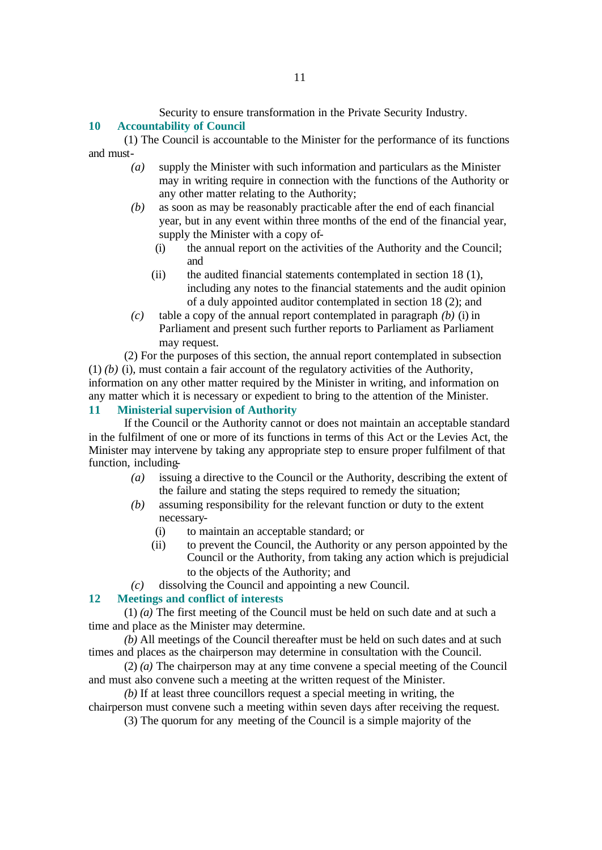Security to ensure transformation in the Private Security Industry.

## **10 Accountability of Council**

(1) The Council is accountable to the Minister for the performance of its functions and must-

- *(a)* supply the Minister with such information and particulars as the Minister may in writing require in connection with the functions of the Authority or any other matter relating to the Authority;
- *(b)* as soon as may be reasonably practicable after the end of each financial year, but in any event within three months of the end of the financial year, supply the Minister with a copy of-
	- (i) the annual report on the activities of the Authority and the Council; and
	- (ii) the audited financial statements contemplated in section 18 (1), including any notes to the financial statements and the audit opinion of a duly appointed auditor contemplated in section 18 (2); and
- *(c)* table a copy of the annual report contemplated in paragraph *(b)* (i) in Parliament and present such further reports to Parliament as Parliament may request.

(2) For the purposes of this section, the annual report contemplated in subsection (1) *(b)* (i), must contain a fair account of the regulatory activities of the Authority, information on any other matter required by the Minister in writing, and information on any matter which it is necessary or expedient to bring to the attention of the Minister.

## **11 Ministerial supervision of Authority**

If the Council or the Authority cannot or does not maintain an acceptable standard in the fulfilment of one or more of its functions in terms of this Act or the Levies Act, the Minister may intervene by taking any appropriate step to ensure proper fulfilment of that function, including-

- *(a)* issuing a directive to the Council or the Authority, describing the extent of the failure and stating the steps required to remedy the situation;
- *(b)* assuming responsibility for the relevant function or duty to the extent necessary-
	- (i) to maintain an acceptable standard; or
	- (ii) to prevent the Council, the Authority or any person appointed by the Council or the Authority, from taking any action which is prejudicial to the objects of the Authority; and
- *(c)* dissolving the Council and appointing a new Council.

#### **12 Meetings and conflict of interests**

(1) *(a)* The first meeting of the Council must be held on such date and at such a time and place as the Minister may determine.

*(b)* All meetings of the Council thereafter must be held on such dates and at such times and places as the chairperson may determine in consultation with the Council.

(2) *(a)* The chairperson may at any time convene a special meeting of the Council and must also convene such a meeting at the written request of the Minister.

*(b)* If at least three councillors request a special meeting in writing, the chairperson must convene such a meeting within seven days after receiving the request.

(3) The quorum for any meeting of the Council is a simple majority of the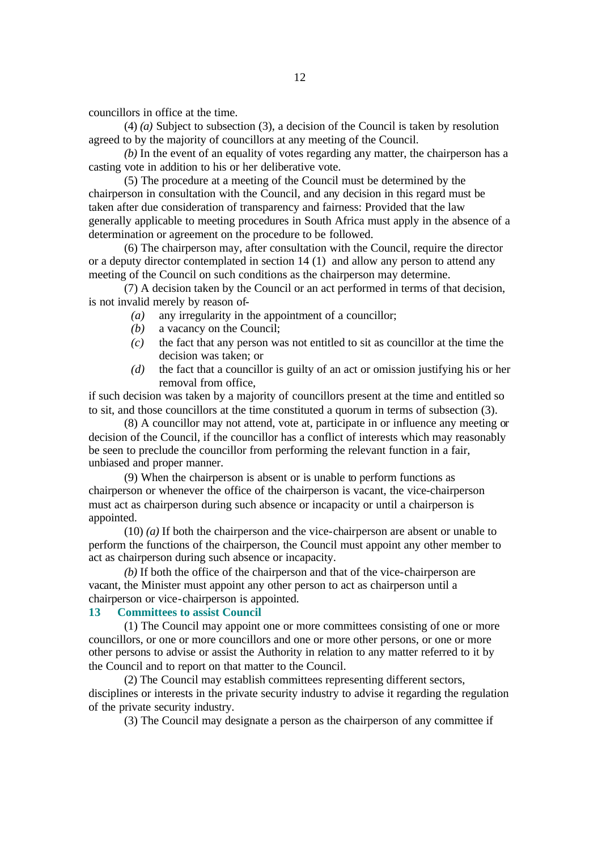councillors in office at the time.

(4) *(a)* Subject to subsection (3), a decision of the Council is taken by resolution agreed to by the majority of councillors at any meeting of the Council.

*(b)* In the event of an equality of votes regarding any matter, the chairperson has a casting vote in addition to his or her deliberative vote.

(5) The procedure at a meeting of the Council must be determined by the chairperson in consultation with the Council, and any decision in this regard must be taken after due consideration of transparency and fairness: Provided that the law generally applicable to meeting procedures in South Africa must apply in the absence of a determination or agreement on the procedure to be followed.

(6) The chairperson may, after consultation with the Council, require the director or a deputy director contemplated in section 14 (1) and allow any person to attend any meeting of the Council on such conditions as the chairperson may determine.

(7) A decision taken by the Council or an act performed in terms of that decision, is not invalid merely by reason of-

- *(a)* any irregularity in the appointment of a councillor;
- *(b)* a vacancy on the Council;
- *(c)* the fact that any person was not entitled to sit as councillor at the time the decision was taken; or
- *(d)* the fact that a councillor is guilty of an act or omission justifying his or her removal from office,

if such decision was taken by a majority of councillors present at the time and entitled so to sit, and those councillors at the time constituted a quorum in terms of subsection (3).

(8) A councillor may not attend, vote at, participate in or influence any meeting or decision of the Council, if the councillor has a conflict of interests which may reasonably be seen to preclude the councillor from performing the relevant function in a fair, unbiased and proper manner.

(9) When the chairperson is absent or is unable to perform functions as chairperson or whenever the office of the chairperson is vacant, the vice-chairperson must act as chairperson during such absence or incapacity or until a chairperson is appointed.

(10) *(a)* If both the chairperson and the vice-chairperson are absent or unable to perform the functions of the chairperson, the Council must appoint any other member to act as chairperson during such absence or incapacity.

*(b)* If both the office of the chairperson and that of the vice-chairperson are vacant, the Minister must appoint any other person to act as chairperson until a chairperson or vice-chairperson is appointed.

#### **13 Committees to assist Council**

(1) The Council may appoint one or more committees consisting of one or more councillors, or one or more councillors and one or more other persons, or one or more other persons to advise or assist the Authority in relation to any matter referred to it by the Council and to report on that matter to the Council.

(2) The Council may establish committees representing different sectors, disciplines or interests in the private security industry to advise it regarding the regulation of the private security industry.

(3) The Council may designate a person as the chairperson of any committee if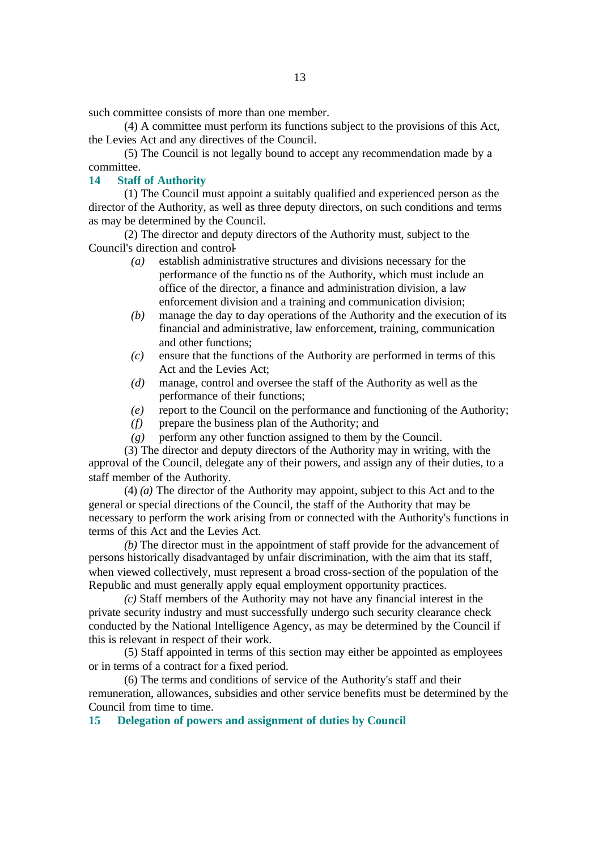such committee consists of more than one member.

(4) A committee must perform its functions subject to the provisions of this Act, the Levies Act and any directives of the Council.

(5) The Council is not legally bound to accept any recommendation made by a committee.

#### **14 Staff of Authority**

(1) The Council must appoint a suitably qualified and experienced person as the director of the Authority, as well as three deputy directors, on such conditions and terms as may be determined by the Council.

(2) The director and deputy directors of the Authority must, subject to the Council's direction and control-

- *(a)* establish administrative structures and divisions necessary for the performance of the functio ns of the Authority, which must include an office of the director, a finance and administration division, a law enforcement division and a training and communication division;
- *(b)* manage the day to day operations of the Authority and the execution of its financial and administrative, law enforcement, training, communication and other functions;
- *(c)* ensure that the functions of the Authority are performed in terms of this Act and the Levies Act;
- *(d)* manage, control and oversee the staff of the Authority as well as the performance of their functions;
- *(e)* report to the Council on the performance and functioning of the Authority;
- *(f)* prepare the business plan of the Authority; and
- *(g)* perform any other function assigned to them by the Council.

(3) The director and deputy directors of the Authority may in writing, with the approval of the Council, delegate any of their powers, and assign any of their duties, to a staff member of the Authority.

(4) *(a)* The director of the Authority may appoint, subject to this Act and to the general or special directions of the Council, the staff of the Authority that may be necessary to perform the work arising from or connected with the Authority's functions in terms of this Act and the Levies Act.

*(b)* The director must in the appointment of staff provide for the advancement of persons historically disadvantaged by unfair discrimination, with the aim that its staff, when viewed collectively, must represent a broad cross-section of the population of the Republic and must generally apply equal employment opportunity practices.

*(c)* Staff members of the Authority may not have any financial interest in the private security industry and must successfully undergo such security clearance check conducted by the National Intelligence Agency, as may be determined by the Council if this is relevant in respect of their work.

(5) Staff appointed in terms of this section may either be appointed as employees or in terms of a contract for a fixed period.

(6) The terms and conditions of service of the Authority's staff and their remuneration, allowances, subsidies and other service benefits must be determined by the Council from time to time.

**15 Delegation of powers and assignment of duties by Council**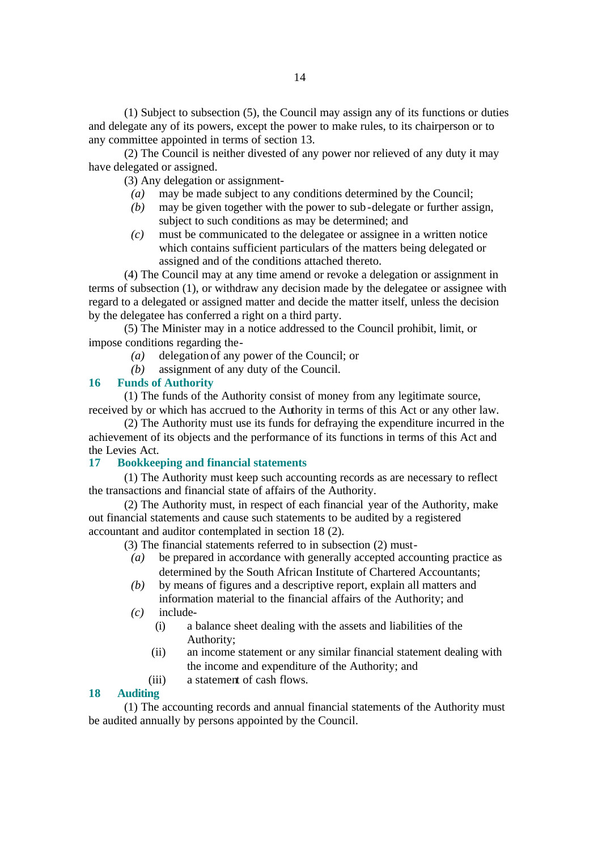(1) Subject to subsection (5), the Council may assign any of its functions or duties and delegate any of its powers, except the power to make rules, to its chairperson or to any committee appointed in terms of section 13.

(2) The Council is neither divested of any power nor relieved of any duty it may have delegated or assigned.

(3) Any delegation or assignment-

- *(a)* may be made subject to any conditions determined by the Council;
- *(b)* may be given together with the power to sub-delegate or further assign, subject to such conditions as may be determined; and
- *(c)* must be communicated to the delegatee or assignee in a written notice which contains sufficient particulars of the matters being delegated or assigned and of the conditions attached thereto.

(4) The Council may at any time amend or revoke a delegation or assignment in terms of subsection (1), or withdraw any decision made by the delegatee or assignee with regard to a delegated or assigned matter and decide the matter itself, unless the decision by the delegatee has conferred a right on a third party.

(5) The Minister may in a notice addressed to the Council prohibit, limit, or impose conditions regarding the-

- *(a)* delegation of any power of the Council; or
- *(b)* assignment of any duty of the Council.

#### **16 Funds of Authority**

(1) The funds of the Authority consist of money from any legitimate source, received by or which has accrued to the Authority in terms of this Act or any other law.

(2) The Authority must use its funds for defraying the expenditure incurred in the achievement of its objects and the performance of its functions in terms of this Act and the Levies Act.

## **17 Bookkeeping and financial statements**

(1) The Authority must keep such accounting records as are necessary to reflect the transactions and financial state of affairs of the Authority.

(2) The Authority must, in respect of each financial year of the Authority, make out financial statements and cause such statements to be audited by a registered accountant and auditor contemplated in section 18 (2).

- (3) The financial statements referred to in subsection (2) must-
	- *(a)* be prepared in accordance with generally accepted accounting practice as determined by the South African Institute of Chartered Accountants;
	- *(b)* by means of figures and a descriptive report, explain all matters and information material to the financial affairs of the Authority; and
	- *(c)* include-
		- (i) a balance sheet dealing with the assets and liabilities of the Authority;
		- (ii) an income statement or any similar financial statement dealing with the income and expenditure of the Authority; and
		- (iii) a statement of cash flows.

#### **18 Auditing**

(1) The accounting records and annual financial statements of the Authority must be audited annually by persons appointed by the Council.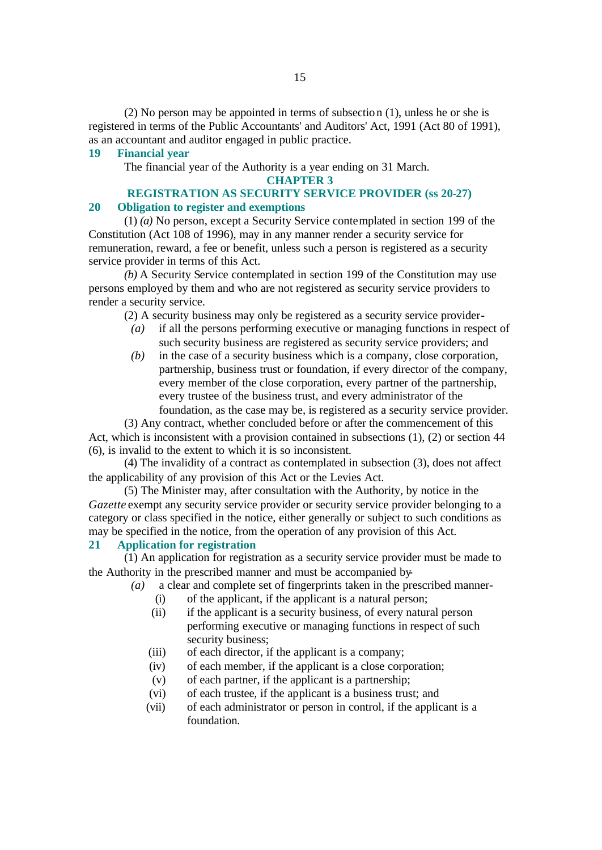(2) No person may be appointed in terms of subsection (1), unless he or she is registered in terms of the Public Accountants' and Auditors' Act, 1991 (Act 80 of 1991), as an accountant and auditor engaged in public practice.

#### **19 Financial year**

The financial year of the Authority is a year ending on 31 March.

#### **CHAPTER 3**

#### **REGISTRATION AS SECURITY SERVICE PROVIDER (ss 20-27) 20 Obligation to register and exemptions**

(1) *(a)* No person, except a Security Service contemplated in section 199 of the Constitution (Act 108 of 1996), may in any manner render a security service for remuneration, reward, a fee or benefit, unless such a person is registered as a security service provider in terms of this Act.

*(b)* A Security Service contemplated in section 199 of the Constitution may use persons employed by them and who are not registered as security service providers to render a security service.

(2) A security business may only be registered as a security service provider-

- *(a)* if all the persons performing executive or managing functions in respect of such security business are registered as security service providers; and
- *(b)* in the case of a security business which is a company, close corporation, partnership, business trust or foundation, if every director of the company, every member of the close corporation, every partner of the partnership, every trustee of the business trust, and every administrator of the foundation, as the case may be, is registered as a security service provider.

(3) Any contract, whether concluded before or after the commencement of this Act, which is inconsistent with a provision contained in subsections (1), (2) or section 44 (6), is invalid to the extent to which it is so inconsistent.

(4) The invalidity of a contract as contemplated in subsection (3), does not affect the applicability of any provision of this Act or the Levies Act.

(5) The Minister may, after consultation with the Authority, by notice in the *Gazette* exempt any security service provider or security service provider belonging to a category or class specified in the notice, either generally or subject to such conditions as may be specified in the notice, from the operation of any provision of this Act.

#### **21 Application for registration**

(1) An application for registration as a security service provider must be made to the Authority in the prescribed manner and must be accompanied by-

*(a)* a clear and complete set of fingerprints taken in the prescribed manner-

- (i) of the applicant, if the applicant is a natural person;
- (ii) if the applicant is a security business, of every natural person performing executive or managing functions in respect of such security business:
- (iii) of each director, if the applicant is a company;
- (iv) of each member, if the applicant is a close corporation;
- (v) of each partner, if the applicant is a partnership;
- (vi) of each trustee, if the applicant is a business trust; and
- (vii) of each administrator or person in control, if the applicant is a foundation.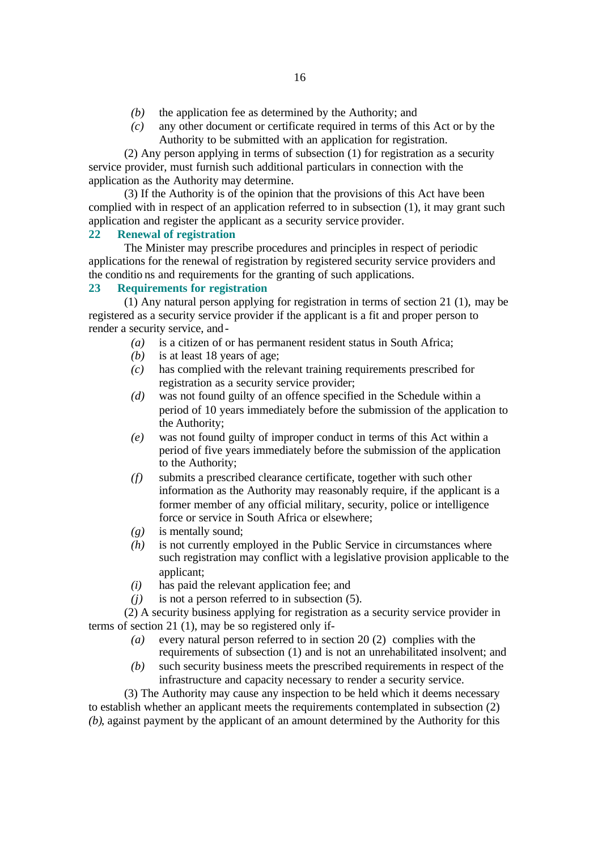- *(b)* the application fee as determined by the Authority; and
- *(c)* any other document or certificate required in terms of this Act or by the Authority to be submitted with an application for registration.

(2) Any person applying in terms of subsection (1) for registration as a security service provider, must furnish such additional particulars in connection with the application as the Authority may determine.

(3) If the Authority is of the opinion that the provisions of this Act have been complied with in respect of an application referred to in subsection (1), it may grant such application and register the applicant as a security service provider.

## **22 Renewal of registration**

The Minister may prescribe procedures and principles in respect of periodic applications for the renewal of registration by registered security service providers and the conditio ns and requirements for the granting of such applications.

## **23 Requirements for registration**

(1) Any natural person applying for registration in terms of section 21 (1), may be registered as a security service provider if the applicant is a fit and proper person to render a security service, and-

- *(a)* is a citizen of or has permanent resident status in South Africa;
- *(b)* is at least 18 years of age;
- *(c)* has complied with the relevant training requirements prescribed for registration as a security service provider;
- *(d)* was not found guilty of an offence specified in the Schedule within a period of 10 years immediately before the submission of the application to the Authority;
- *(e)* was not found guilty of improper conduct in terms of this Act within a period of five years immediately before the submission of the application to the Authority;
- *(f)* submits a prescribed clearance certificate, together with such other information as the Authority may reasonably require, if the applicant is a former member of any official military, security, police or intelligence force or service in South Africa or elsewhere;
- *(g)* is mentally sound;
- *(h)* is not currently employed in the Public Service in circumstances where such registration may conflict with a legislative provision applicable to the applicant;
- *(i)* has paid the relevant application fee; and
- *(j)* is not a person referred to in subsection (5).

(2) A security business applying for registration as a security service provider in terms of section 21 (1), may be so registered only if-

- *(a)* every natural person referred to in section 20 (2) complies with the requirements of subsection (1) and is not an unrehabilitated insolvent; and
- *(b)* such security business meets the prescribed requirements in respect of the infrastructure and capacity necessary to render a security service.

(3) The Authority may cause any inspection to be held which it deems necessary to establish whether an applicant meets the requirements contemplated in subsection (2) *(b)*, against payment by the applicant of an amount determined by the Authority for this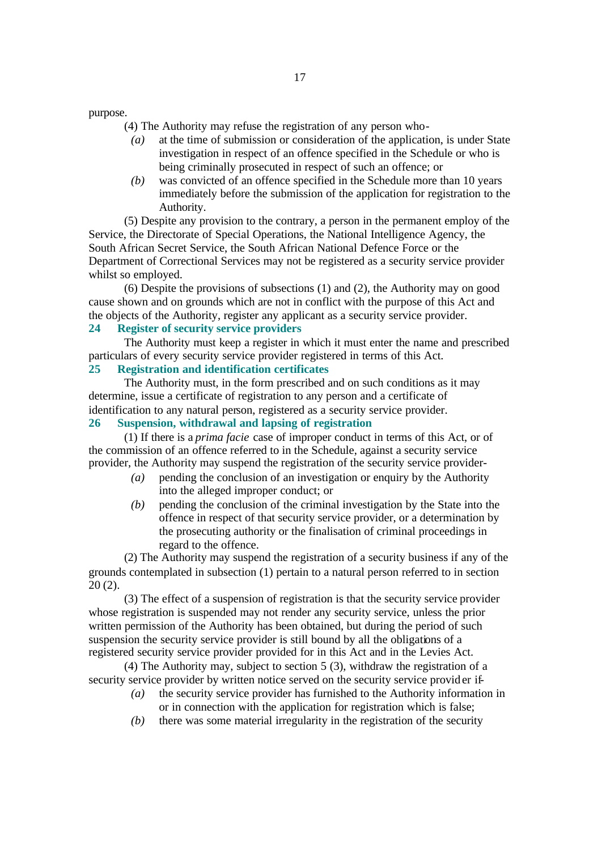purpose.

(4) The Authority may refuse the registration of any person who-

- *(a)* at the time of submission or consideration of the application, is under State investigation in respect of an offence specified in the Schedule or who is being criminally prosecuted in respect of such an offence; or
- *(b)* was convicted of an offence specified in the Schedule more than 10 years immediately before the submission of the application for registration to the Authority.

(5) Despite any provision to the contrary, a person in the permanent employ of the Service, the Directorate of Special Operations, the National Intelligence Agency, the South African Secret Service, the South African National Defence Force or the Department of Correctional Services may not be registered as a security service provider whilst so employed.

(6) Despite the provisions of subsections (1) and (2), the Authority may on good cause shown and on grounds which are not in conflict with the purpose of this Act and the objects of the Authority, register any applicant as a security service provider.

# **24 Register of security service providers**

The Authority must keep a register in which it must enter the name and prescribed particulars of every security service provider registered in terms of this Act.

# **25 Registration and identification certificates**

The Authority must, in the form prescribed and on such conditions as it may determine, issue a certificate of registration to any person and a certificate of identification to any natural person, registered as a security service provider.

# **26 Suspension, withdrawal and lapsing of registration**

(1) If there is a *prima facie* case of improper conduct in terms of this Act, or of the commission of an offence referred to in the Schedule, against a security service provider, the Authority may suspend the registration of the security service provider-

- *(a)* pending the conclusion of an investigation or enquiry by the Authority into the alleged improper conduct; or
- *(b)* pending the conclusion of the criminal investigation by the State into the offence in respect of that security service provider, or a determination by the prosecuting authority or the finalisation of criminal proceedings in regard to the offence.

(2) The Authority may suspend the registration of a security business if any of the grounds contemplated in subsection (1) pertain to a natural person referred to in section 20 (2).

(3) The effect of a suspension of registration is that the security service provider whose registration is suspended may not render any security service, unless the prior written permission of the Authority has been obtained, but during the period of such suspension the security service provider is still bound by all the obligations of a registered security service provider provided for in this Act and in the Levies Act.

(4) The Authority may, subject to section 5 (3), withdraw the registration of a security service provider by written notice served on the security service provid er if-

- *(a)* the security service provider has furnished to the Authority information in or in connection with the application for registration which is false;
- *(b)* there was some material irregularity in the registration of the security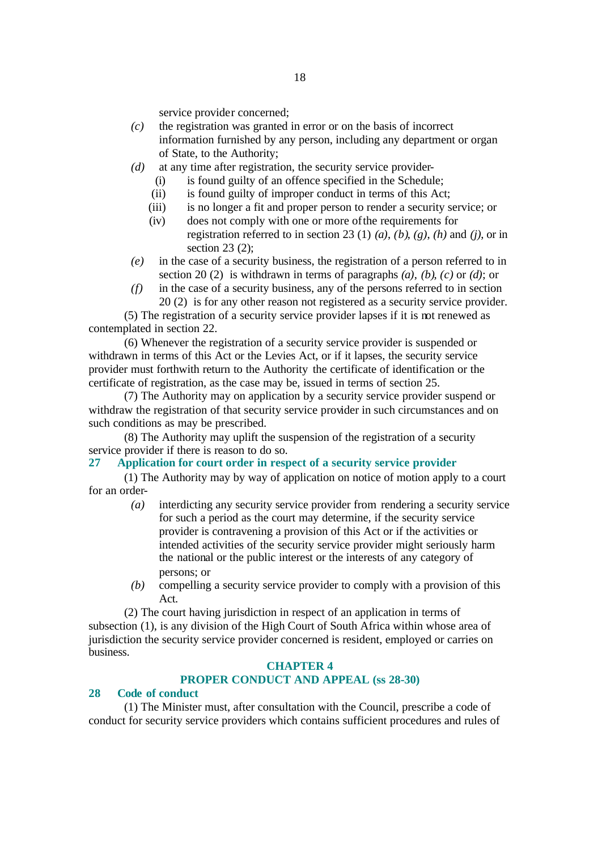service provider concerned;

- *(c)* the registration was granted in error or on the basis of incorrect information furnished by any person, including any department or organ of State, to the Authority;
- *(d)* at any time after registration, the security service provider-
	- (i) is found guilty of an offence specified in the Schedule;
	- (ii) is found guilty of improper conduct in terms of this Act;
	- (iii) is no longer a fit and proper person to render a security service; or
	- (iv) does not comply with one or more of the requirements for registration referred to in section 23 (1) *(a)*, *(b)*, *(g)*, *(h)* and *(j)*, or in section 23 (2);
- *(e)* in the case of a security business, the registration of a person referred to in section 20 (2) is withdrawn in terms of paragraphs *(a)*, *(b)*, *(c)* or *(d)*; or
- *(f)* in the case of a security business, any of the persons referred to in section 20 (2) is for any other reason not registered as a security service provider.

(5) The registration of a security service provider lapses if it is not renewed as contemplated in section 22.

(6) Whenever the registration of a security service provider is suspended or withdrawn in terms of this Act or the Levies Act, or if it lapses, the security service provider must forthwith return to the Authority the certificate of identification or the certificate of registration, as the case may be, issued in terms of section 25.

(7) The Authority may on application by a security service provider suspend or withdraw the registration of that security service provider in such circumstances and on such conditions as may be prescribed.

(8) The Authority may uplift the suspension of the registration of a security service provider if there is reason to do so.

## **27 Application for court order in respect of a security service provider**

(1) The Authority may by way of application on notice of motion apply to a court for an order-

- *(a)* interdicting any security service provider from rendering a security service for such a period as the court may determine, if the security service provider is contravening a provision of this Act or if the activities or intended activities of the security service provider might seriously harm the national or the public interest or the interests of any category of persons; or
- *(b)* compelling a security service provider to comply with a provision of this Act.

(2) The court having jurisdiction in respect of an application in terms of subsection (1), is any division of the High Court of South Africa within whose area of jurisdiction the security service provider concerned is resident, employed or carries on business.

#### **CHAPTER 4**

# **PROPER CONDUCT AND APPEAL (ss 28-30)**

## **28 Code of conduct**

(1) The Minister must, after consultation with the Council, prescribe a code of conduct for security service providers which contains sufficient procedures and rules of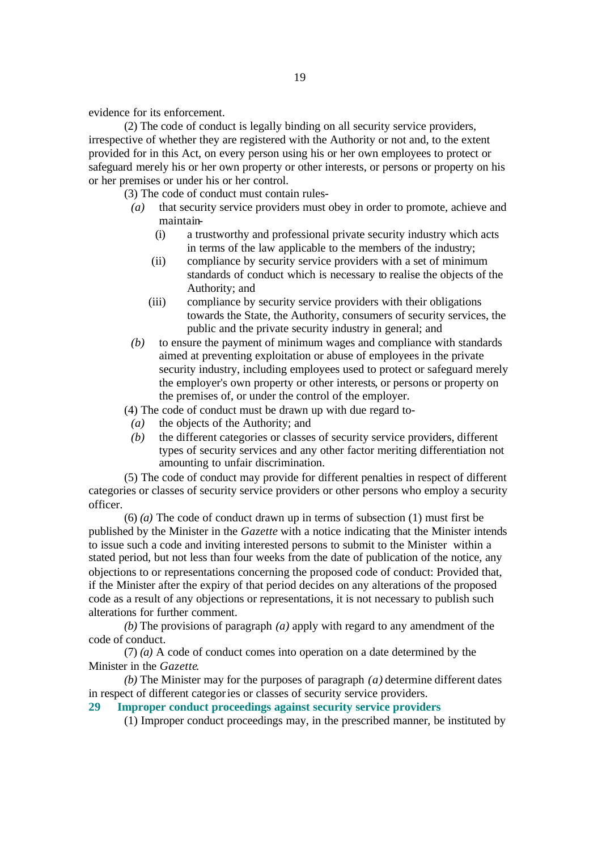evidence for its enforcement.

(2) The code of conduct is legally binding on all security service providers, irrespective of whether they are registered with the Authority or not and, to the extent provided for in this Act, on every person using his or her own employees to protect or safeguard merely his or her own property or other interests, or persons or property on his or her premises or under his or her control.

(3) The code of conduct must contain rules-

- *(a)* that security service providers must obey in order to promote, achieve and maintain-
	- (i) a trustworthy and professional private security industry which acts in terms of the law applicable to the members of the industry;
	- (ii) compliance by security service providers with a set of minimum standards of conduct which is necessary to realise the objects of the Authority; and
	- (iii) compliance by security service providers with their obligations towards the State, the Authority, consumers of security services, the public and the private security industry in general; and
- *(b)* to ensure the payment of minimum wages and compliance with standards aimed at preventing exploitation or abuse of employees in the private security industry, including employees used to protect or safeguard merely the employer's own property or other interests, or persons or property on the premises of, or under the control of the employer.

(4) The code of conduct must be drawn up with due regard to-

- *(a)* the objects of the Authority; and
- *(b)* the different categories or classes of security service providers, different types of security services and any other factor meriting differentiation not amounting to unfair discrimination.

(5) The code of conduct may provide for different penalties in respect of different categories or classes of security service providers or other persons who employ a security officer.

(6) *(a)* The code of conduct drawn up in terms of subsection (1) must first be published by the Minister in the *Gazette* with a notice indicating that the Minister intends to issue such a code and inviting interested persons to submit to the Minister within a stated period, but not less than four weeks from the date of publication of the notice, any objections to or representations concerning the proposed code of conduct: Provided that, if the Minister after the expiry of that period decides on any alterations of the proposed code as a result of any objections or representations, it is not necessary to publish such alterations for further comment.

*(b)* The provisions of paragraph *(a)* apply with regard to any amendment of the code of conduct.

(7) *(a)* A code of conduct comes into operation on a date determined by the Minister in the *Gazette*.

*(b)* The Minister may for the purposes of paragraph *(a)* determine different dates in respect of different categories or classes of security service providers.

**29 Improper conduct proceedings against security service providers**

(1) Improper conduct proceedings may, in the prescribed manner, be instituted by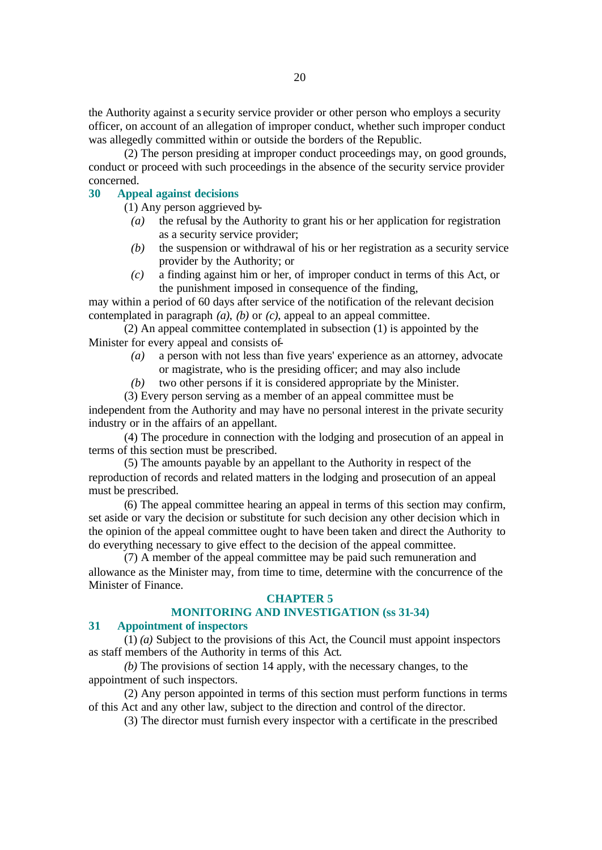the Authority against a s ecurity service provider or other person who employs a security officer, on account of an allegation of improper conduct, whether such improper conduct was allegedly committed within or outside the borders of the Republic.

(2) The person presiding at improper conduct proceedings may, on good grounds, conduct or proceed with such proceedings in the absence of the security service provider concerned.

## **30 Appeal against decisions**

(1) Any person aggrieved by-

- *(a)* the refusal by the Authority to grant his or her application for registration as a security service provider;
- *(b)* the suspension or withdrawal of his or her registration as a security service provider by the Authority; or
- *(c)* a finding against him or her, of improper conduct in terms of this Act, or the punishment imposed in consequence of the finding,

may within a period of 60 days after service of the notification of the relevant decision contemplated in paragraph  $(a)$ ,  $(b)$  or  $(c)$ , appeal to an appeal committee.

(2) An appeal committee contemplated in subsection (1) is appointed by the Minister for every appeal and consists of-

- *(a)* a person with not less than five years' experience as an attorney, advocate or magistrate, who is the presiding officer; and may also include
- *(b)* two other persons if it is considered appropriate by the Minister.
- (3) Every person serving as a member of an appeal committee must be

independent from the Authority and may have no personal interest in the private security industry or in the affairs of an appellant.

(4) The procedure in connection with the lodging and prosecution of an appeal in terms of this section must be prescribed.

(5) The amounts payable by an appellant to the Authority in respect of the reproduction of records and related matters in the lodging and prosecution of an appeal must be prescribed.

(6) The appeal committee hearing an appeal in terms of this section may confirm, set aside or vary the decision or substitute for such decision any other decision which in the opinion of the appeal committee ought to have been taken and direct the Authority to do everything necessary to give effect to the decision of the appeal committee.

(7) A member of the appeal committee may be paid such remuneration and allowance as the Minister may, from time to time, determine with the concurrence of the Minister of Finance.

#### **CHAPTER 5**

#### **MONITORING AND INVESTIGATION (ss 31-34)**

#### **31 Appointment of inspectors**

(1) *(a)* Subject to the provisions of this Act, the Council must appoint inspectors as staff members of the Authority in terms of this Act.

*(b)* The provisions of section 14 apply, with the necessary changes, to the appointment of such inspectors.

(2) Any person appointed in terms of this section must perform functions in terms of this Act and any other law, subject to the direction and control of the director.

(3) The director must furnish every inspector with a certificate in the prescribed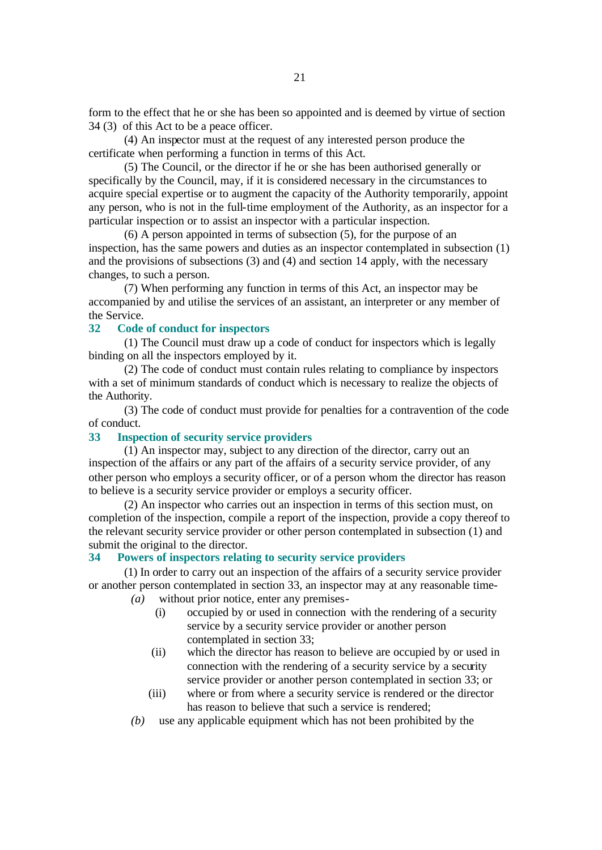form to the effect that he or she has been so appointed and is deemed by virtue of section 34 (3) of this Act to be a peace officer.

(4) An inspector must at the request of any interested person produce the certificate when performing a function in terms of this Act.

(5) The Council, or the director if he or she has been authorised generally or specifically by the Council, may, if it is considered necessary in the circumstances to acquire special expertise or to augment the capacity of the Authority temporarily, appoint any person, who is not in the full-time employment of the Authority, as an inspector for a particular inspection or to assist an inspector with a particular inspection.

(6) A person appointed in terms of subsection (5), for the purpose of an inspection, has the same powers and duties as an inspector contemplated in subsection (1) and the provisions of subsections (3) and (4) and section 14 apply, with the necessary changes, to such a person.

(7) When performing any function in terms of this Act, an inspector may be accompanied by and utilise the services of an assistant, an interpreter or any member of the Service.

#### **32 Code of conduct for inspectors**

(1) The Council must draw up a code of conduct for inspectors which is legally binding on all the inspectors employed by it.

(2) The code of conduct must contain rules relating to compliance by inspectors with a set of minimum standards of conduct which is necessary to realize the objects of the Authority.

(3) The code of conduct must provide for penalties for a contravention of the code of conduct.

### **33 Inspection of security service providers**

 $(1)$  An inspector may, subject to any direction of the director, carry out an inspection of the affairs or any part of the affairs of a security service provider, of any other person who employs a security officer, or of a person whom the director has reason to believe is a security service provider or employs a security officer.

(2) An inspector who carries out an inspection in terms of this section must, on completion of the inspection, compile a report of the inspection, provide a copy thereof to the relevant security service provider or other person contemplated in subsection (1) and submit the original to the director.

## **34 Powers of inspectors relating to security service providers**

(1) In order to carry out an inspection of the affairs of a security service provider or another person contemplated in section 33, an inspector may at any reasonable time-

- *(a)* without prior notice, enter any premises-
	- (i) occupied by or used in connection with the rendering of a security service by a security service provider or another person contemplated in section 33;
	- (ii) which the director has reason to believe are occupied by or used in connection with the rendering of a security service by a security service provider or another person contemplated in section 33; or
	- (iii) where or from where a security service is rendered or the director has reason to believe that such a service is rendered;
- *(b)* use any applicable equipment which has not been prohibited by the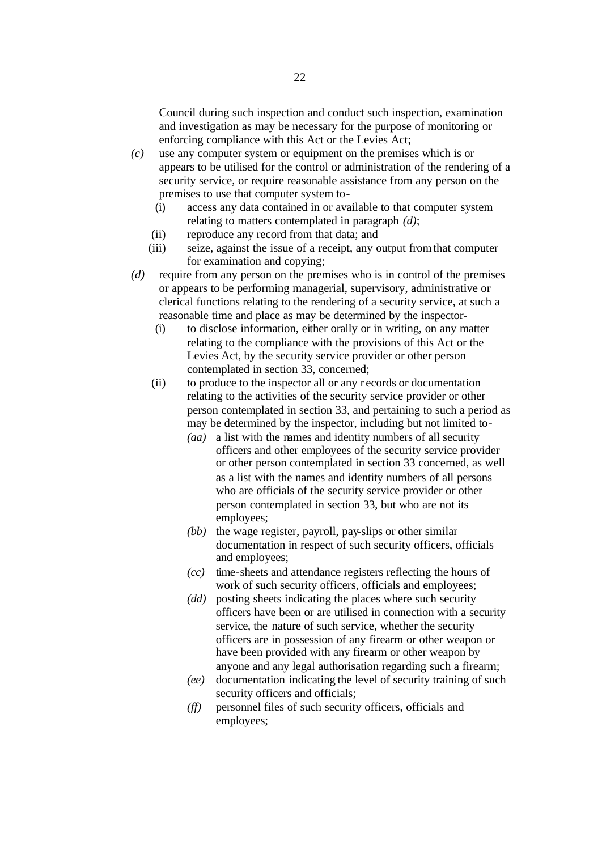Council during such inspection and conduct such inspection, examination and investigation as may be necessary for the purpose of monitoring or enforcing compliance with this Act or the Levies Act;

- *(c)* use any computer system or equipment on the premises which is or appears to be utilised for the control or administration of the rendering of a security service, or require reasonable assistance from any person on the premises to use that computer system to-
	- (i) access any data contained in or available to that computer system relating to matters contemplated in paragraph *(d)*;
	- (ii) reproduce any record from that data; and
	- (iii) seize, against the issue of a receipt, any output from that computer for examination and copying;
- *(d)* require from any person on the premises who is in control of the premises or appears to be performing managerial, supervisory, administrative or clerical functions relating to the rendering of a security service, at such a reasonable time and place as may be determined by the inspector-
	- (i) to disclose information, either orally or in writing, on any matter relating to the compliance with the provisions of this Act or the Levies Act, by the security service provider or other person contemplated in section 33, concerned;
	- (ii) to produce to the inspector all or any r ecords or documentation relating to the activities of the security service provider or other person contemplated in section 33, and pertaining to such a period as may be determined by the inspector, including but not limited to-
		- *(aa)* a list with the names and identity numbers of all security officers and other employees of the security service provider or other person contemplated in section 33 concerned, as well as a list with the names and identity numbers of all persons who are officials of the security service provider or other person contemplated in section 33, but who are not its employees;
		- *(bb)* the wage register, payroll, pay-slips or other similar documentation in respect of such security officers, officials and employees;
		- *(cc)* time-sheets and attendance registers reflecting the hours of work of such security officers, officials and employees;
		- *(dd)* posting sheets indicating the places where such security officers have been or are utilised in connection with a security service, the nature of such service, whether the security officers are in possession of any firearm or other weapon or have been provided with any firearm or other weapon by anyone and any legal authorisation regarding such a firearm;
		- *(ee)* documentation indicating the level of security training of such security officers and officials;
		- *(ff)* personnel files of such security officers, officials and employees;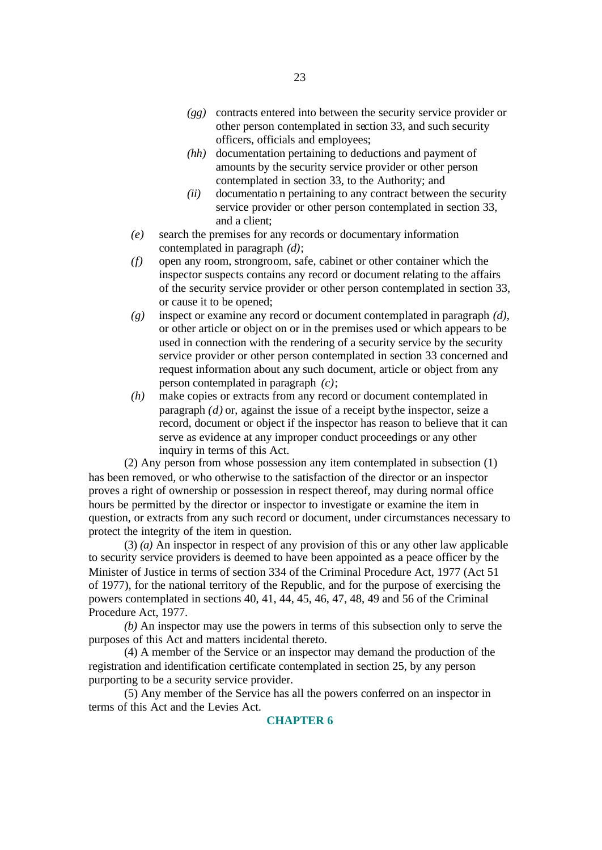- *(gg)* contracts entered into between the security service provider or other person contemplated in section 33, and such security officers, officials and employees;
- *(hh)* documentation pertaining to deductions and payment of amounts by the security service provider or other person contemplated in section 33, to the Authority; and
- *(ii)* documentatio n pertaining to any contract between the security service provider or other person contemplated in section 33, and a client;
- *(e)* search the premises for any records or documentary information contemplated in paragraph *(d)*;
- *(f)* open any room, strongroom, safe, cabinet or other container which the inspector suspects contains any record or document relating to the affairs of the security service provider or other person contemplated in section 33, or cause it to be opened;
- *(g)* inspect or examine any record or document contemplated in paragraph *(d)*, or other article or object on or in the premises used or which appears to be used in connection with the rendering of a security service by the security service provider or other person contemplated in section 33 concerned and request information about any such document, article or object from any person contemplated in paragraph *(c)*;
- *(h)* make copies or extracts from any record or document contemplated in paragraph *(d)* or, against the issue of a receipt by the inspector, seize a record, document or object if the inspector has reason to believe that it can serve as evidence at any improper conduct proceedings or any other inquiry in terms of this Act.

(2) Any person from whose possession any item contemplated in subsection (1) has been removed, or who otherwise to the satisfaction of the director or an inspector proves a right of ownership or possession in respect thereof, may during normal office hours be permitted by the director or inspector to investigate or examine the item in question, or extracts from any such record or document, under circumstances necessary to protect the integrity of the item in question.

(3) *(a)* An inspector in respect of any provision of this or any other law applicable to security service providers is deemed to have been appointed as a peace officer by the Minister of Justice in terms of section 334 of the Criminal Procedure Act, 1977 (Act 51 of 1977), for the national territory of the Republic, and for the purpose of exercising the powers contemplated in sections 40, 41, 44, 45, 46, 47, 48, 49 and 56 of the Criminal Procedure Act, 1977.

*(b)* An inspector may use the powers in terms of this subsection only to serve the purposes of this Act and matters incidental thereto.

(4) A member of the Service or an inspector may demand the production of the registration and identification certificate contemplated in section 25, by any person purporting to be a security service provider.

(5) Any member of the Service has all the powers conferred on an inspector in terms of this Act and the Levies Act.

#### **CHAPTER 6**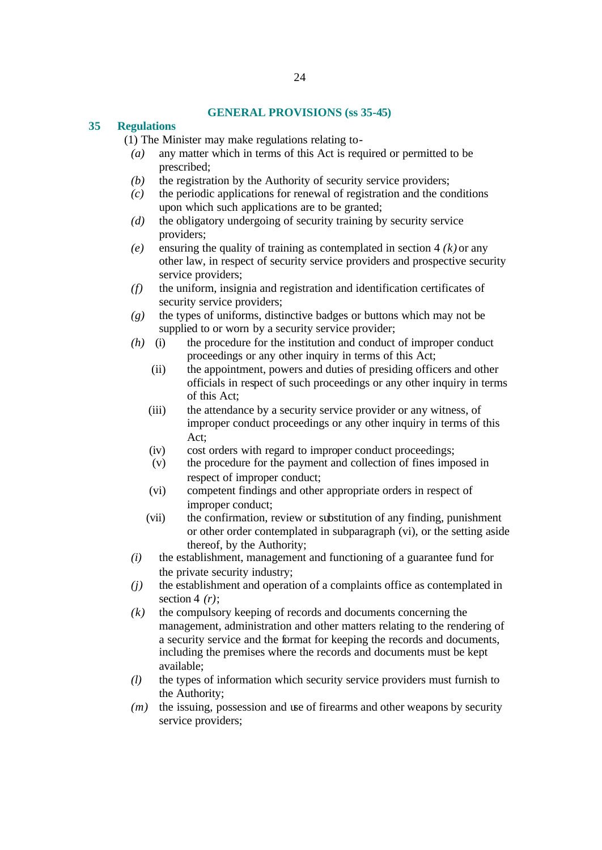#### **GENERAL PROVISIONS (ss 35-45)**

#### **35 Regulations**

(1) The Minister may make regulations relating to-

- *(a)* any matter which in terms of this Act is required or permitted to be prescribed;
- *(b)* the registration by the Authority of security service providers;
- *(c)* the periodic applications for renewal of registration and the conditions upon which such applications are to be granted;
- *(d)* the obligatory undergoing of security training by security service providers;
- *(e)* ensuring the quality of training as contemplated in section 4 *(k)* or any other law, in respect of security service providers and prospective security service providers;
- *(f)* the uniform, insignia and registration and identification certificates of security service providers;
- *(g)* the types of uniforms, distinctive badges or buttons which may not be supplied to or worn by a security service provider;
- *(h)* (i) the procedure for the institution and conduct of improper conduct proceedings or any other inquiry in terms of this Act;
	- (ii) the appointment, powers and duties of presiding officers and other officials in respect of such proceedings or any other inquiry in terms of this Act;
	- (iii) the attendance by a security service provider or any witness, of improper conduct proceedings or any other inquiry in terms of this Act;
	- (iv) cost orders with regard to improper conduct proceedings;
	- (v) the procedure for the payment and collection of fines imposed in respect of improper conduct;
	- (vi) competent findings and other appropriate orders in respect of improper conduct;
	- (vii) the confirmation, review or substitution of any finding, punishment or other order contemplated in subparagraph (vi), or the setting aside thereof, by the Authority;
- *(i)* the establishment, management and functioning of a guarantee fund for the private security industry;
- *(j)* the establishment and operation of a complaints office as contemplated in section 4 *(r)*;
- *(k)* the compulsory keeping of records and documents concerning the management, administration and other matters relating to the rendering of a security service and the format for keeping the records and documents, including the premises where the records and documents must be kept available;
- *(l)* the types of information which security service providers must furnish to the Authority;
- *(m)* the issuing, possession and use of firearms and other weapons by security service providers;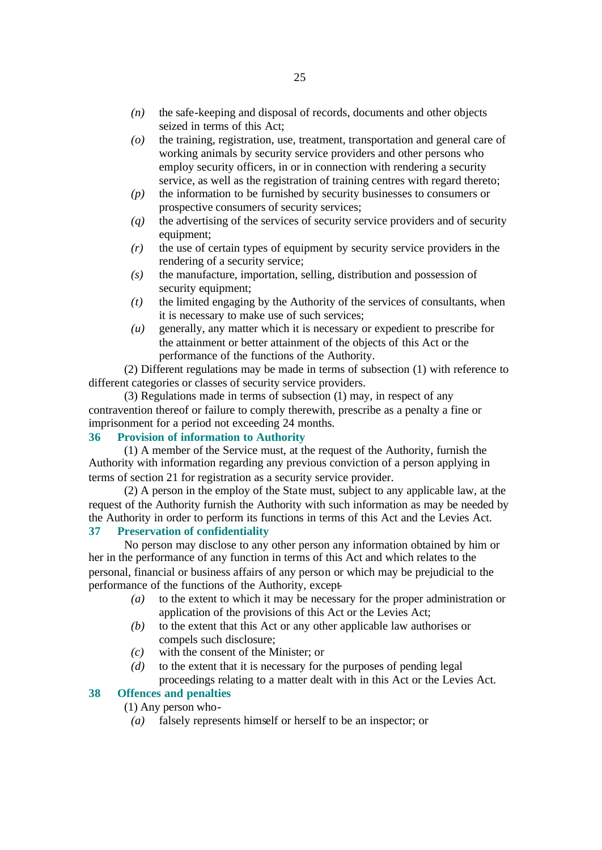- *(n)* the safe-keeping and disposal of records, documents and other objects seized in terms of this Act;
- *(o)* the training, registration, use, treatment, transportation and general care of working animals by security service providers and other persons who employ security officers, in or in connection with rendering a security service, as well as the registration of training centres with regard thereto;
- *(p)* the information to be furnished by security businesses to consumers or prospective consumers of security services;
- *(q)* the advertising of the services of security service providers and of security equipment;
- *(r)* the use of certain types of equipment by security service providers in the rendering of a security service;
- *(s)* the manufacture, importation, selling, distribution and possession of security equipment;
- *(t)* the limited engaging by the Authority of the services of consultants, when it is necessary to make use of such services;
- *(u)* generally, any matter which it is necessary or expedient to prescribe for the attainment or better attainment of the objects of this Act or the performance of the functions of the Authority.

(2) Different regulations may be made in terms of subsection (1) with reference to different categories or classes of security service providers.

(3) Regulations made in terms of subsection (1) may, in respect of any contravention thereof or failure to comply therewith, prescribe as a penalty a fine or imprisonment for a period not exceeding 24 months.

## **36 Provision of information to Authority**

(1) A member of the Service must, at the request of the Authority, furnish the Authority with information regarding any previous conviction of a person applying in terms of section 21 for registration as a security service provider.

(2) A person in the employ of the State must, subject to any applicable law, at the request of the Authority furnish the Authority with such information as may be needed by the Authority in order to perform its functions in terms of this Act and the Levies Act.

# **37 Preservation of confidentiality**

No person may disclose to any other person any information obtained by him or her in the performance of any function in terms of this Act and which relates to the personal, financial or business affairs of any person or which may be prejudicial to the performance of the functions of the Authority, except-

- *(a)* to the extent to which it may be necessary for the proper administration or application of the provisions of this Act or the Levies Act;
- *(b)* to the extent that this Act or any other applicable law authorises or compels such disclosure;
- *(c)* with the consent of the Minister; or
- *(d)* to the extent that it is necessary for the purposes of pending legal proceedings relating to a matter dealt with in this Act or the Levies Act.

# **38 Offences and penalties**

- (1) Any person who-
	- *(a)* falsely represents himself or herself to be an inspector; or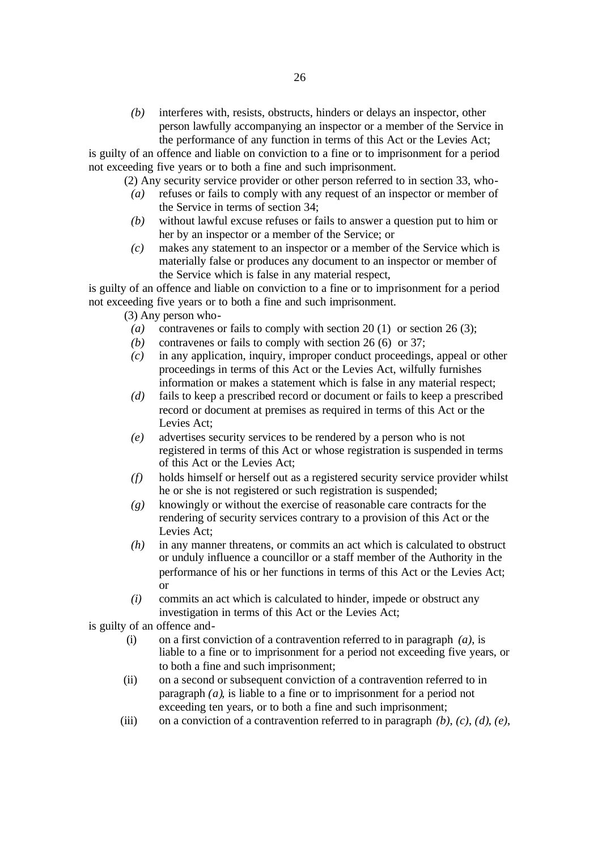*(b)* interferes with, resists, obstructs, hinders or delays an inspector, other person lawfully accompanying an inspector or a member of the Service in the performance of any function in terms of this Act or the Levies Act;

is guilty of an offence and liable on conviction to a fine or to imprisonment for a period not exceeding five years or to both a fine and such imprisonment.

(2) Any security service provider or other person referred to in section 33, who-

- *(a)* refuses or fails to comply with any request of an inspector or member of the Service in terms of section 34;
- *(b)* without lawful excuse refuses or fails to answer a question put to him or her by an inspector or a member of the Service; or
- *(c)* makes any statement to an inspector or a member of the Service which is materially false or produces any document to an inspector or member of the Service which is false in any material respect,

is guilty of an offence and liable on conviction to a fine or to imprisonment for a period not exceeding five years or to both a fine and such imprisonment.

(3) Any person who-

- *(a)* contravenes or fails to comply with section 20 (1) or section 26 (3);
- *(b)* contravenes or fails to comply with section 26 (6) or 37;
- *(c)* in any application, inquiry, improper conduct proceedings, appeal or other proceedings in terms of this Act or the Levies Act, wilfully furnishes information or makes a statement which is false in any material respect;
- *(d)* fails to keep a prescribed record or document or fails to keep a prescribed record or document at premises as required in terms of this Act or the Levies Act;
- *(e)* advertises security services to be rendered by a person who is not registered in terms of this Act or whose registration is suspended in terms of this Act or the Levies Act;
- *(f)* holds himself or herself out as a registered security service provider whilst he or she is not registered or such registration is suspended;
- *(g)* knowingly or without the exercise of reasonable care contracts for the rendering of security services contrary to a provision of this Act or the Levies Act;
- *(h)* in any manner threatens, or commits an act which is calculated to obstruct or unduly influence a councillor or a staff member of the Authority in the performance of his or her functions in terms of this Act or the Levies Act; or
- *(i)* commits an act which is calculated to hinder, impede or obstruct any investigation in terms of this Act or the Levies Act;

is guilty of an offence and-

- (i) on a first conviction of a contravention referred to in paragraph *(a)*, is liable to a fine or to imprisonment for a period not exceeding five years, or to both a fine and such imprisonment;
- (ii) on a second or subsequent conviction of a contravention referred to in paragraph *(a)*, is liable to a fine or to imprisonment for a period not exceeding ten years, or to both a fine and such imprisonment;
- (iii) on a conviction of a contravention referred to in paragraph *(b)*, *(c)*, *(d)*, *(e)*,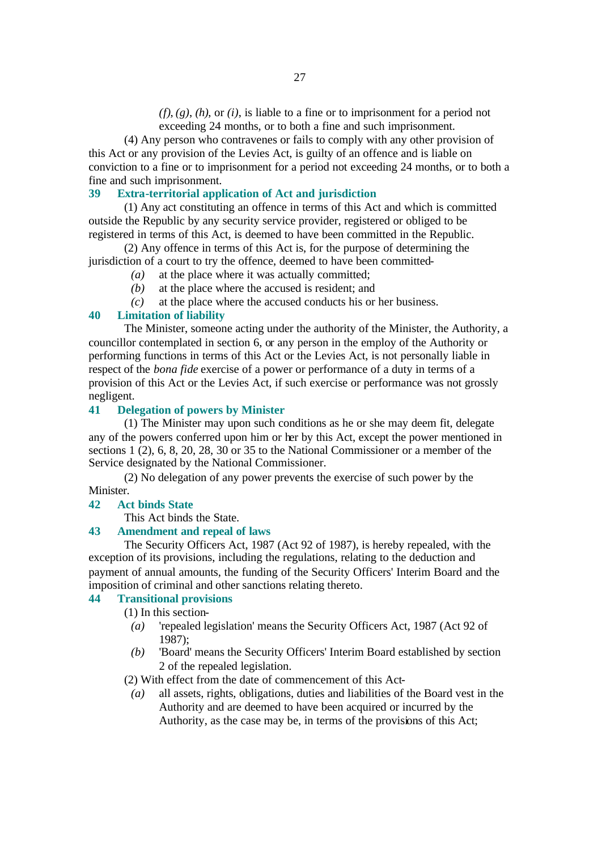*(f)*, *(g)*, *(h)*, or *(i)*, is liable to a fine or to imprisonment for a period not exceeding 24 months, or to both a fine and such imprisonment.

(4) Any person who contravenes or fails to comply with any other provision of this Act or any provision of the Levies Act, is guilty of an offence and is liable on conviction to a fine or to imprisonment for a period not exceeding 24 months, or to both a fine and such imprisonment.

#### **39 Extra-territorial application of Act and jurisdiction**

(1) Any act constituting an offence in terms of this Act and which is committed outside the Republic by any security service provider, registered or obliged to be registered in terms of this Act, is deemed to have been committed in the Republic.

(2) Any offence in terms of this Act is, for the purpose of determining the jurisdiction of a court to try the offence, deemed to have been committed-

- *(a)* at the place where it was actually committed;
- *(b)* at the place where the accused is resident; and
- *(c)* at the place where the accused conducts his or her business.

#### **40 Limitation of liability**

The Minister, someone acting under the authority of the Minister, the Authority, a councillor contemplated in section 6, or any person in the employ of the Authority or performing functions in terms of this Act or the Levies Act, is not personally liable in respect of the *bona fide* exercise of a power or performance of a duty in terms of a provision of this Act or the Levies Act, if such exercise or performance was not grossly negligent.

#### **41 Delegation of powers by Minister**

(1) The Minister may upon such conditions as he or she may deem fit, delegate any of the powers conferred upon him or her by this Act, except the power mentioned in sections 1 (2), 6, 8, 20, 28, 30 or 35 to the National Commissioner or a member of the Service designated by the National Commissioner.

(2) No delegation of any power prevents the exercise of such power by the Minister.

#### **42 Act binds State**

This Act binds the State.

#### **43 Amendment and repeal of laws**

The Security Officers Act, 1987 (Act 92 of 1987), is hereby repealed, with the exception of its provisions, including the regulations, relating to the deduction and payment of annual amounts, the funding of the Security Officers' Interim Board and the imposition of criminal and other sanctions relating thereto.

#### **44 Transitional provisions**

(1) In this section-

- *(a)* 'repealed legislation' means the Security Officers Act, 1987 (Act 92 of 1987);
- *(b)* 'Board' means the Security Officers' Interim Board established by section 2 of the repealed legislation.

(2) With effect from the date of commencement of this Act-

*(a)* all assets, rights, obligations, duties and liabilities of the Board vest in the Authority and are deemed to have been acquired or incurred by the Authority, as the case may be, in terms of the provisions of this Act;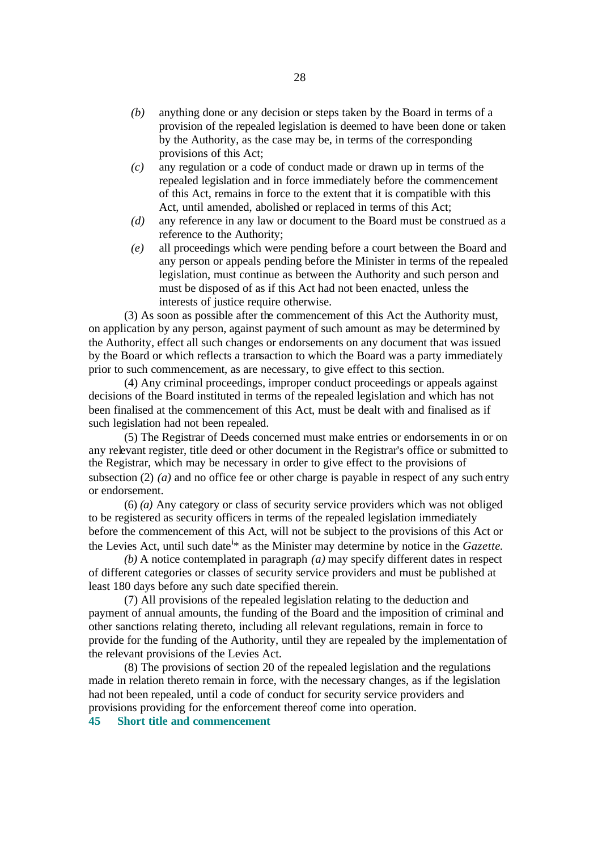- *(b)* anything done or any decision or steps taken by the Board in terms of a provision of the repealed legislation is deemed to have been done or taken by the Authority, as the case may be, in terms of the corresponding provisions of this Act;
- *(c)* any regulation or a code of conduct made or drawn up in terms of the repealed legislation and in force immediately before the commencement of this Act, remains in force to the extent that it is compatible with this Act, until amended, abolished or replaced in terms of this Act;
- *(d)* any reference in any law or document to the Board must be construed as a reference to the Authority;
- *(e)* all proceedings which were pending before a court between the Board and any person or appeals pending before the Minister in terms of the repealed legislation, must continue as between the Authority and such person and must be disposed of as if this Act had not been enacted, unless the interests of justice require otherwise.

(3) As soon as possible after the commencement of this Act the Authority must, on application by any person, against payment of such amount as may be determined by the Authority, effect all such changes or endorsements on any document that was issued by the Board or which reflects a transaction to which the Board was a party immediately prior to such commencement, as are necessary, to give effect to this section.

(4) Any criminal proceedings, improper conduct proceedings or appeals against decisions of the Board instituted in terms of the repealed legislation and which has not been finalised at the commencement of this Act, must be dealt with and finalised as if such legislation had not been repealed.

(5) The Registrar of Deeds concerned must make entries or endorsements in or on any relevant register, title deed or other document in the Registrar's office or submitted to the Registrar, which may be necessary in order to give effect to the provisions of subsection (2) *(a)* and no office fee or other charge is payable in respect of any such entry or endorsement.

(6) *(a)* Any category or class of security service providers which was not obliged to be registered as security officers in terms of the repealed legislation immediately before the commencement of this Act, will not be subject to the provisions of this Act or the Levies Act, until such date<sup>i\*</sup> as the Minister may determine by notice in the *Gazette*.

*(b)* A notice contemplated in paragraph *(a)* may specify different dates in respect of different categories or classes of security service providers and must be published at least 180 days before any such date specified therein.

(7) All provisions of the repealed legislation relating to the deduction and payment of annual amounts, the funding of the Board and the imposition of criminal and other sanctions relating thereto, including all relevant regulations, remain in force to provide for the funding of the Authority, until they are repealed by the implementation of the relevant provisions of the Levies Act.

(8) The provisions of section 20 of the repealed legislation and the regulations made in relation thereto remain in force, with the necessary changes, as if the legislation had not been repealed, until a code of conduct for security service providers and provisions providing for the enforcement thereof come into operation.

**45 Short title and commencement**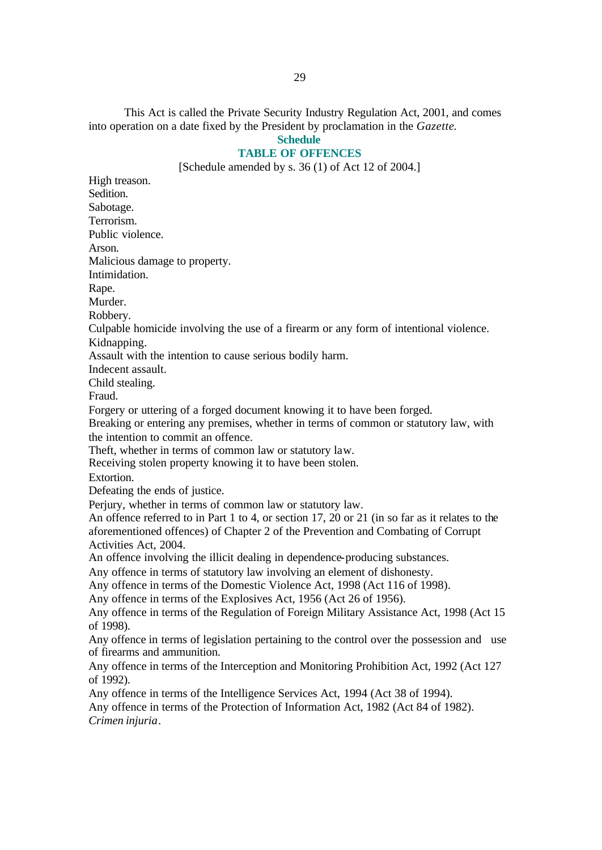This Act is called the Private Security Industry Regulation Act, 2001, and comes into operation on a date fixed by the President by proclamation in the *Gazette*. **Schedule**

# **TABLE OF OFFENCES**

[Schedule amended by s. 36 (1) of Act 12 of 2004.]

High treason. Sedition. Sabotage. Terrorism. Public violence. Arson. Malicious damage to property. Intimidation. Rape. Murder. Robbery. Culpable homicide involving the use of a firearm or any form of intentional violence. Kidnapping. Assault with the intention to cause serious bodily harm. Indecent assault. Child stealing. Fraud. Forgery or uttering of a forged document knowing it to have been forged. Breaking or entering any premises, whether in terms of common or statutory law, with the intention to commit an offence. Theft, whether in terms of common law or statutory law. Receiving stolen property knowing it to have been stolen. Extortion. Defeating the ends of justice. Perjury, whether in terms of common law or statutory law. An offence referred to in Part 1 to 4, or section 17, 20 or 21 (in so far as it relates to the aforementioned offences) of Chapter 2 of the Prevention and Combating of Corrupt Activities Act, 2004. An offence involving the illicit dealing in dependence-producing substances. Any offence in terms of statutory law involving an element of dishonesty. Any offence in terms of the Domestic Violence Act, 1998 (Act 116 of 1998). Any offence in terms of the Explosives Act, 1956 (Act 26 of 1956). Any offence in terms of the Regulation of Foreign Military Assistance Act, 1998 (Act 15 of 1998). Any offence in terms of legislation pertaining to the control over the possession and use of firearms and ammunition. Any offence in terms of the Interception and Monitoring Prohibition Act, 1992 (Act 127 of 1992). Any offence in terms of the Intelligence Services Act, 1994 (Act 38 of 1994). Any offence in terms of the Protection of Information Act, 1982 (Act 84 of 1982). *Crimen injuria*.